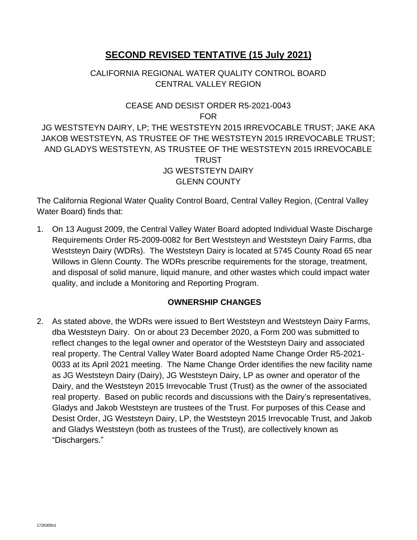# **SECOND REVISED TENTATIVE (15 July 2021)**

# CALIFORNIA REGIONAL WATER QUALITY CONTROL BOARD CENTRAL VALLEY REGION

# CEASE AND DESIST ORDER R5-2021-0043 FOR

JG WESTSTEYN DAIRY, LP; THE WESTSTEYN 2015 IRREVOCABLE TRUST; JAKE AKA JAKOB WESTSTEYN, AS TRUSTEE OF THE WESTSTEYN 2015 IRREVOCABLE TRUST; AND GLADYS WESTSTEYN, AS TRUSTEE OF THE WESTSTEYN 2015 IRREVOCABLE **TRUST** JG WESTSTEYN DAIRY GLENN COUNTY

The California Regional Water Quality Control Board, Central Valley Region, (Central Valley Water Board) finds that:

1. On 13 August 2009, the Central Valley Water Board adopted Individual Waste Discharge Requirements Order R5-2009-0082 for Bert Weststeyn and Weststeyn Dairy Farms, dba Weststeyn Dairy (WDRs). The Weststeyn Dairy is located at 5745 County Road 65 near Willows in Glenn County. The WDRs prescribe requirements for the storage, treatment, and disposal of solid manure, liquid manure, and other wastes which could impact water quality, and include a Monitoring and Reporting Program.

#### **OWNERSHIP CHANGES**

2. As stated above, the WDRs were issued to Bert Weststeyn and Weststeyn Dairy Farms, dba Weststeyn Dairy. On or about 23 December 2020, a Form 200 was submitted to reflect changes to the legal owner and operator of the Weststeyn Dairy and associated real property. The Central Valley Water Board adopted Name Change Order R5-2021- 0033 at its April 2021 meeting. The Name Change Order identifies the new facility name as JG Weststeyn Dairy (Dairy), JG Weststeyn Dairy, LP as owner and operator of the Dairy, and the Weststeyn 2015 Irrevocable Trust (Trust) as the owner of the associated real property. Based on public records and discussions with the Dairy's representatives, Gladys and Jakob Weststeyn are trustees of the Trust. For purposes of this Cease and Desist Order, JG Weststeyn Dairy, LP, the Weststeyn 2015 Irrevocable Trust, and Jakob and Gladys Weststeyn (both as trustees of the Trust), are collectively known as "Dischargers."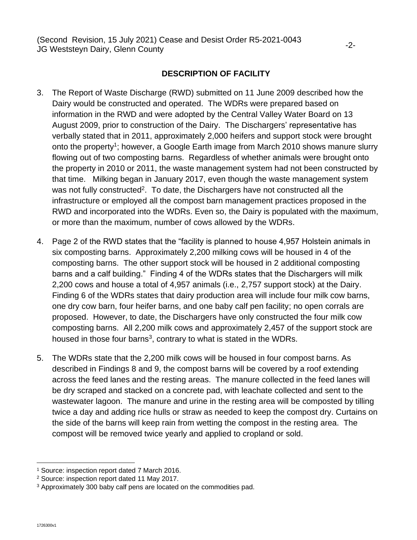## **DESCRIPTION OF FACILITY**

- 3. The Report of Waste Discharge (RWD) submitted on 11 June 2009 described how the Dairy would be constructed and operated. The WDRs were prepared based on information in the RWD and were adopted by the Central Valley Water Board on 13 August 2009, prior to construction of the Dairy. The Dischargers' representative has verbally stated that in 2011, approximately 2,000 heifers and support stock were brought onto the property<sup>1</sup>; however, a Google Earth image from March 2010 shows manure slurry flowing out of two composting barns. Regardless of whether animals were brought onto the property in 2010 or 2011, the waste management system had not been constructed by that time. Milking began in January 2017, even though the waste management system was not fully constructed<sup>2</sup>. To date, the Dischargers have not constructed all the infrastructure or employed all the compost barn management practices proposed in the RWD and incorporated into the WDRs. Even so, the Dairy is populated with the maximum, or more than the maximum, number of cows allowed by the WDRs.
- 4. Page 2 of the RWD states that the "facility is planned to house 4,957 Holstein animals in six composting barns. Approximately 2,200 milking cows will be housed in 4 of the composting barns. The other support stock will be housed in 2 additional composting barns and a calf building." Finding 4 of the WDRs states that the Dischargers will milk 2,200 cows and house a total of 4,957 animals (i.e., 2,757 support stock) at the Dairy. Finding 6 of the WDRs states that dairy production area will include four milk cow barns, one dry cow barn, four heifer barns, and one baby calf pen facility; no open corrals are proposed. However, to date, the Dischargers have only constructed the four milk cow composting barns. All 2,200 milk cows and approximately 2,457 of the support stock are housed in those four barns<sup>3</sup>, contrary to what is stated in the WDRs.
- 5. The WDRs state that the 2,200 milk cows will be housed in four compost barns. As described in Findings 8 and 9, the compost barns will be covered by a roof extending across the feed lanes and the resting areas. The manure collected in the feed lanes will be dry scraped and stacked on a concrete pad, with leachate collected and sent to the wastewater lagoon. The manure and urine in the resting area will be composted by tilling twice a day and adding rice hulls or straw as needed to keep the compost dry. Curtains on the side of the barns will keep rain from wetting the compost in the resting area. The compost will be removed twice yearly and applied to cropland or sold.

<sup>1</sup> Source: inspection report dated 7 March 2016.

<sup>2</sup> Source: inspection report dated 11 May 2017.

<sup>&</sup>lt;sup>3</sup> Approximately 300 baby calf pens are located on the commodities pad.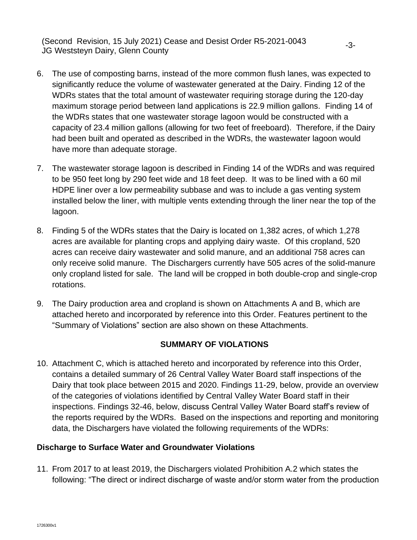- 6. The use of composting barns, instead of the more common flush lanes, was expected to significantly reduce the volume of wastewater generated at the Dairy. Finding 12 of the WDRs states that the total amount of wastewater requiring storage during the 120-day maximum storage period between land applications is 22.9 million gallons. Finding 14 of the WDRs states that one wastewater storage lagoon would be constructed with a capacity of 23.4 million gallons (allowing for two feet of freeboard). Therefore, if the Dairy had been built and operated as described in the WDRs, the wastewater lagoon would have more than adequate storage.
- 7. The wastewater storage lagoon is described in Finding 14 of the WDRs and was required to be 950 feet long by 290 feet wide and 18 feet deep. It was to be lined with a 60 mil HDPE liner over a low permeability subbase and was to include a gas venting system installed below the liner, with multiple vents extending through the liner near the top of the lagoon.
- 8. Finding 5 of the WDRs states that the Dairy is located on 1,382 acres, of which 1,278 acres are available for planting crops and applying dairy waste. Of this cropland, 520 acres can receive dairy wastewater and solid manure, and an additional 758 acres can only receive solid manure. The Dischargers currently have 505 acres of the solid-manure only cropland listed for sale. The land will be cropped in both double-crop and single-crop rotations.
- 9. The Dairy production area and cropland is shown on Attachments A and B, which are attached hereto and incorporated by reference into this Order. Features pertinent to the "Summary of Violations" section are also shown on these Attachments.

#### **SUMMARY OF VIOLATIONS**

10. Attachment C, which is attached hereto and incorporated by reference into this Order, contains a detailed summary of 26 Central Valley Water Board staff inspections of the Dairy that took place between 2015 and 2020. Findings 11-29, below, provide an overview of the categories of violations identified by Central Valley Water Board staff in their inspections. Findings 32-46, below, discuss Central Valley Water Board staff's review of the reports required by the WDRs. Based on the inspections and reporting and monitoring data, the Dischargers have violated the following requirements of the WDRs:

#### **Discharge to Surface Water and Groundwater Violations**

11. From 2017 to at least 2019, the Dischargers violated Prohibition A.2 which states the following: "The direct or indirect discharge of waste and/or storm water from the production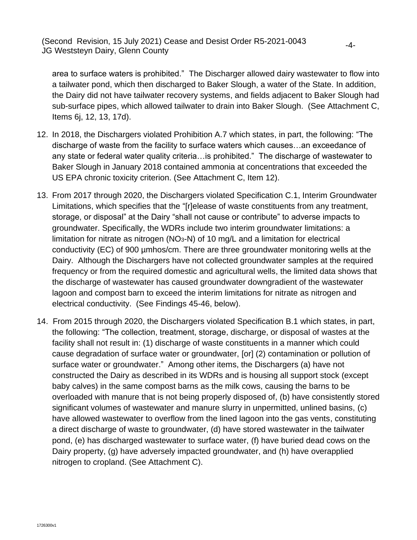area to surface waters is prohibited." The Discharger allowed dairy wastewater to flow into a tailwater pond, which then discharged to Baker Slough, a water of the State. In addition, the Dairy did not have tailwater recovery systems, and fields adjacent to Baker Slough had sub-surface pipes, which allowed tailwater to drain into Baker Slough. (See Attachment C, Items 6j, 12, 13, 17d).

- 12. In 2018, the Dischargers violated Prohibition A.7 which states, in part, the following: "The discharge of waste from the facility to surface waters which causes…an exceedance of any state or federal water quality criteria…is prohibited." The discharge of wastewater to Baker Slough in January 2018 contained ammonia at concentrations that exceeded the US EPA chronic toxicity criterion. (See Attachment C, Item 12).
- 13. From 2017 through 2020, the Dischargers violated Specification C.1, Interim Groundwater Limitations, which specifies that the "[r]elease of waste constituents from any treatment, storage, or disposal" at the Dairy "shall not cause or contribute" to adverse impacts to groundwater. Specifically, the WDRs include two interim groundwater limitations: a limitation for nitrate as nitrogen  $(NO<sub>3</sub>-N)$  of 10 mg/L and a limitation for electrical conductivity (EC) of 900 µmhos/cm. There are three groundwater monitoring wells at the Dairy. Although the Dischargers have not collected groundwater samples at the required frequency or from the required domestic and agricultural wells, the limited data shows that the discharge of wastewater has caused groundwater downgradient of the wastewater lagoon and compost barn to exceed the interim limitations for nitrate as nitrogen and electrical conductivity. (See Findings 45-46, below).
- 14. From 2015 through 2020, the Dischargers violated Specification B.1 which states, in part, the following: "The collection, treatment, storage, discharge, or disposal of wastes at the facility shall not result in: (1) discharge of waste constituents in a manner which could cause degradation of surface water or groundwater, [or] (2) contamination or pollution of surface water or groundwater." Among other items, the Dischargers (a) have not constructed the Dairy as described in its WDRs and is housing all support stock (except baby calves) in the same compost barns as the milk cows, causing the barns to be overloaded with manure that is not being properly disposed of, (b) have consistently stored significant volumes of wastewater and manure slurry in unpermitted, unlined basins, (c) have allowed wastewater to overflow from the lined lagoon into the gas vents, constituting a direct discharge of waste to groundwater, (d) have stored wastewater in the tailwater pond, (e) has discharged wastewater to surface water, (f) have buried dead cows on the Dairy property, (g) have adversely impacted groundwater, and (h) have overapplied nitrogen to cropland. (See Attachment C).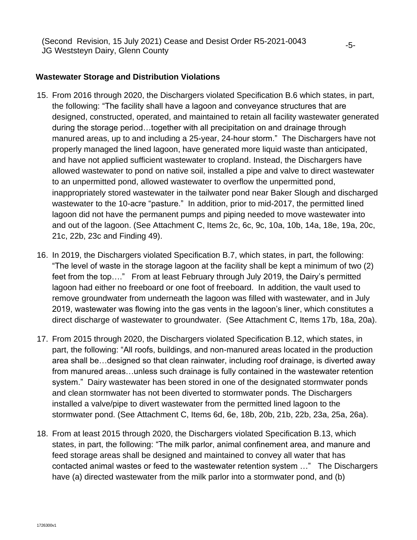#### **Wastewater Storage and Distribution Violations**

- 15. From 2016 through 2020, the Dischargers violated Specification B.6 which states, in part, the following: "The facility shall have a lagoon and conveyance structures that are designed, constructed, operated, and maintained to retain all facility wastewater generated during the storage period…together with all precipitation on and drainage through manured areas, up to and including a 25-year, 24-hour storm." The Dischargers have not properly managed the lined lagoon, have generated more liquid waste than anticipated, and have not applied sufficient wastewater to cropland. Instead, the Dischargers have allowed wastewater to pond on native soil, installed a pipe and valve to direct wastewater to an unpermitted pond, allowed wastewater to overflow the unpermitted pond, inappropriately stored wastewater in the tailwater pond near Baker Slough and discharged wastewater to the 10-acre "pasture." In addition, prior to mid-2017, the permitted lined lagoon did not have the permanent pumps and piping needed to move wastewater into and out of the lagoon. (See Attachment C, Items 2c, 6c, 9c, 10a, 10b, 14a, 18e, 19a, 20c, 21c, 22b, 23c and Finding 49).
- 16. In 2019, the Dischargers violated Specification B.7, which states, in part, the following: "The level of waste in the storage lagoon at the facility shall be kept a minimum of two (2) feet from the top…." From at least February through July 2019, the Dairy's permitted lagoon had either no freeboard or one foot of freeboard. In addition, the vault used to remove groundwater from underneath the lagoon was filled with wastewater, and in July 2019, wastewater was flowing into the gas vents in the lagoon's liner, which constitutes a direct discharge of wastewater to groundwater. (See Attachment C, Items 17b, 18a, 20a).
- 17. From 2015 through 2020, the Dischargers violated Specification B.12, which states, in part, the following: "All roofs, buildings, and non-manured areas located in the production area shall be…designed so that clean rainwater, including roof drainage, is diverted away from manured areas…unless such drainage is fully contained in the wastewater retention system." Dairy wastewater has been stored in one of the designated stormwater ponds and clean stormwater has not been diverted to stormwater ponds. The Dischargers installed a valve/pipe to divert wastewater from the permitted lined lagoon to the stormwater pond. (See Attachment C, Items 6d, 6e, 18b, 20b, 21b, 22b, 23a, 25a, 26a).
- 18. From at least 2015 through 2020, the Dischargers violated Specification B.13, which states, in part, the following: "The milk parlor, animal confinement area, and manure and feed storage areas shall be designed and maintained to convey all water that has contacted animal wastes or feed to the wastewater retention system …" The Dischargers have (a) directed wastewater from the milk parlor into a stormwater pond, and (b)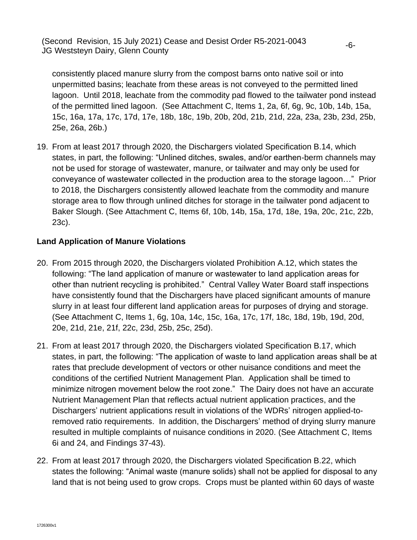consistently placed manure slurry from the compost barns onto native soil or into unpermitted basins; leachate from these areas is not conveyed to the permitted lined lagoon. Until 2018, leachate from the commodity pad flowed to the tailwater pond instead of the permitted lined lagoon. (See Attachment C, Items 1, 2a, 6f, 6g, 9c, 10b, 14b, 15a, 15c, 16a, 17a, 17c, 17d, 17e, 18b, 18c, 19b, 20b, 20d, 21b, 21d, 22a, 23a, 23b, 23d, 25b, 25e, 26a, 26b.)

19. From at least 2017 through 2020, the Dischargers violated Specification B.14, which states, in part, the following: "Unlined ditches, swales, and/or earthen-berm channels may not be used for storage of wastewater, manure, or tailwater and may only be used for conveyance of wastewater collected in the production area to the storage lagoon…" Prior to 2018, the Dischargers consistently allowed leachate from the commodity and manure storage area to flow through unlined ditches for storage in the tailwater pond adjacent to Baker Slough. (See Attachment C, Items 6f, 10b, 14b, 15a, 17d, 18e, 19a, 20c, 21c, 22b, 23c).

#### **Land Application of Manure Violations**

- 20. From 2015 through 2020, the Dischargers violated Prohibition A.12, which states the following: "The land application of manure or wastewater to land application areas for other than nutrient recycling is prohibited." Central Valley Water Board staff inspections have consistently found that the Dischargers have placed significant amounts of manure slurry in at least four different land application areas for purposes of drying and storage. (See Attachment C, Items 1, 6g, 10a, 14c, 15c, 16a, 17c, 17f, 18c, 18d, 19b, 19d, 20d, 20e, 21d, 21e, 21f, 22c, 23d, 25b, 25c, 25d).
- 21. From at least 2017 through 2020, the Dischargers violated Specification B.17, which states, in part, the following: "The application of waste to land application areas shall be at rates that preclude development of vectors or other nuisance conditions and meet the conditions of the certified Nutrient Management Plan. Application shall be timed to minimize nitrogen movement below the root zone." The Dairy does not have an accurate Nutrient Management Plan that reflects actual nutrient application practices, and the Dischargers' nutrient applications result in violations of the WDRs' nitrogen applied-toremoved ratio requirements. In addition, the Dischargers' method of drying slurry manure resulted in multiple complaints of nuisance conditions in 2020. (See Attachment C, Items 6i and 24, and Findings 37-43).
- 22. From at least 2017 through 2020, the Dischargers violated Specification B.22, which states the following: "Animal waste (manure solids) shall not be applied for disposal to any land that is not being used to grow crops. Crops must be planted within 60 days of waste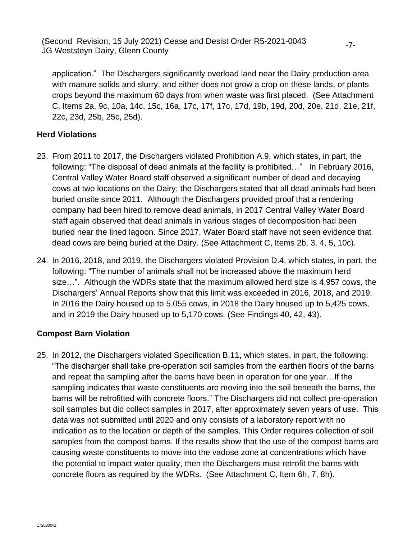application." The Dischargers significantly overload land near the Dairy production area with manure solids and slurry, and either does not grow a crop on these lands, or plants crops beyond the maximum 60 days from when waste was first placed. (See Attachment C, Items 2a, 9c, 10a, 14c, 15c, 16a, 17c, 17f, 17c, 17d, 19b, 19d, 20d, 20e, 21d, 21e, 21f, 22c, 23d, 25b, 25c, 25d).

#### **Herd Violations**

- 23. From 2011 to 2017, the Dischargers violated Prohibition A.9, which states, in part, the following: "The disposal of dead animals at the facility is prohibited…" In February 2016, Central Valley Water Board staff observed a significant number of dead and decaying cows at two locations on the Dairy; the Dischargers stated that all dead animals had been buried onsite since 2011. Although the Dischargers provided proof that a rendering company had been hired to remove dead animals, in 2017 Central Valley Water Board staff again observed that dead animals in various stages of decomposition had been buried near the lined lagoon. Since 2017, Water Board staff have not seen evidence that dead cows are being buried at the Dairy. (See Attachment C, Items 2b, 3, 4, 5, 10c).
- 24. In 2016, 2018, and 2019, the Dischargers violated Provision D.4, which states, in part, the following: "The number of animals shall not be increased above the maximum herd size…". Although the WDRs state that the maximum allowed herd size is 4,957 cows, the Dischargers' Annual Reports show that this limit was exceeded in 2016, 2018, and 2019. In 2016 the Dairy housed up to 5,055 cows, in 2018 the Dairy housed up to 5,425 cows, and in 2019 the Dairy housed up to 5,170 cows. (See Findings 40, 42, 43).

## **Compost Barn Violation**

25. In 2012, the Dischargers violated Specification B.11, which states, in part, the following: "The discharger shall take pre-operation soil samples from the earthen floors of the barns and repeat the sampling after the barns have been in operation for one year…If the sampling indicates that waste constituents are moving into the soil beneath the barns, the barns will be retrofitted with concrete floors." The Dischargers did not collect pre-operation soil samples but did collect samples in 2017, after approximately seven years of use. This data was not submitted until 2020 and only consists of a laboratory report with no indication as to the location or depth of the samples. This Order requires collection of soil samples from the compost barns. If the results show that the use of the compost barns are causing waste constituents to move into the vadose zone at concentrations which have the potential to impact water quality, then the Dischargers must retrofit the barns with concrete floors as required by the WDRs. (See Attachment C, Item 6h, 7, 8h).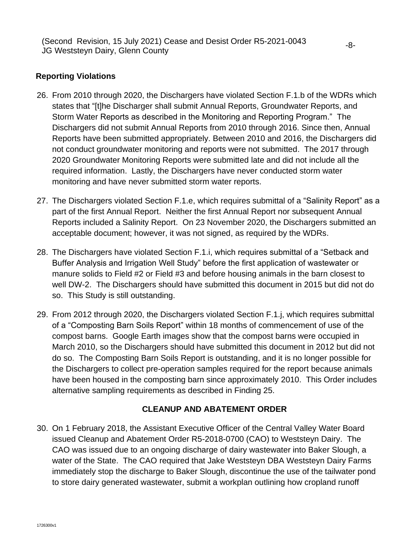### **Reporting Violations**

- 26. From 2010 through 2020, the Dischargers have violated Section F.1.b of the WDRs which states that "[t]he Discharger shall submit Annual Reports, Groundwater Reports, and Storm Water Reports as described in the Monitoring and Reporting Program." The Dischargers did not submit Annual Reports from 2010 through 2016. Since then, Annual Reports have been submitted appropriately. Between 2010 and 2016, the Dischargers did not conduct groundwater monitoring and reports were not submitted. The 2017 through 2020 Groundwater Monitoring Reports were submitted late and did not include all the required information. Lastly, the Dischargers have never conducted storm water monitoring and have never submitted storm water reports.
- 27. The Dischargers violated Section F.1.e, which requires submittal of a "Salinity Report" as a part of the first Annual Report. Neither the first Annual Report nor subsequent Annual Reports included a Salinity Report. On 23 November 2020, the Dischargers submitted an acceptable document; however, it was not signed, as required by the WDRs.
- 28. The Dischargers have violated Section F.1.i, which requires submittal of a "Setback and Buffer Analysis and Irrigation Well Study" before the first application of wastewater or manure solids to Field #2 or Field #3 and before housing animals in the barn closest to well DW-2. The Dischargers should have submitted this document in 2015 but did not do so. This Study is still outstanding.
- 29. From 2012 through 2020, the Dischargers violated Section F.1.j, which requires submittal of a "Composting Barn Soils Report" within 18 months of commencement of use of the compost barns. Google Earth images show that the compost barns were occupied in March 2010, so the Dischargers should have submitted this document in 2012 but did not do so. The Composting Barn Soils Report is outstanding, and it is no longer possible for the Dischargers to collect pre-operation samples required for the report because animals have been housed in the composting barn since approximately 2010. This Order includes alternative sampling requirements as described in Finding 25.

#### **CLEANUP AND ABATEMENT ORDER**

30. On 1 February 2018, the Assistant Executive Officer of the Central Valley Water Board issued Cleanup and Abatement Order R5-2018-0700 (CAO) to Weststeyn Dairy. The CAO was issued due to an ongoing discharge of dairy wastewater into Baker Slough, a water of the State. The CAO required that Jake Weststeyn DBA Weststeyn Dairy Farms immediately stop the discharge to Baker Slough, discontinue the use of the tailwater pond to store dairy generated wastewater, submit a workplan outlining how cropland runoff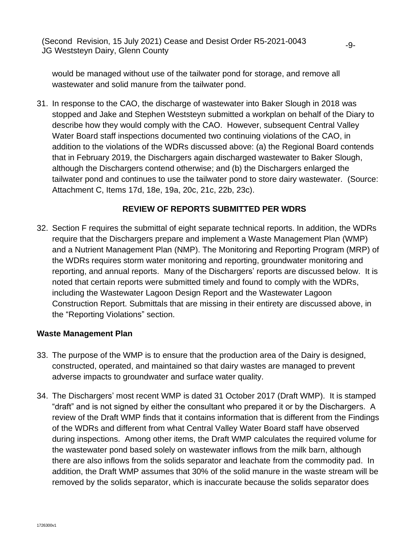would be managed without use of the tailwater pond for storage, and remove all wastewater and solid manure from the tailwater pond.

31. In response to the CAO, the discharge of wastewater into Baker Slough in 2018 was stopped and Jake and Stephen Weststeyn submitted a workplan on behalf of the Diary to describe how they would comply with the CAO. However, subsequent Central Valley Water Board staff inspections documented two continuing violations of the CAO, in addition to the violations of the WDRs discussed above: (a) the Regional Board contends that in February 2019, the Dischargers again discharged wastewater to Baker Slough, although the Dischargers contend otherwise; and (b) the Dischargers enlarged the tailwater pond and continues to use the tailwater pond to store dairy wastewater. (Source: Attachment C, Items 17d, 18e, 19a, 20c, 21c, 22b, 23c).

#### **REVIEW OF REPORTS SUBMITTED PER WDRS**

32. Section F requires the submittal of eight separate technical reports. In addition, the WDRs require that the Dischargers prepare and implement a Waste Management Plan (WMP) and a Nutrient Management Plan (NMP). The Monitoring and Reporting Program (MRP) of the WDRs requires storm water monitoring and reporting, groundwater monitoring and reporting, and annual reports. Many of the Dischargers' reports are discussed below. It is noted that certain reports were submitted timely and found to comply with the WDRs, including the Wastewater Lagoon Design Report and the Wastewater Lagoon Construction Report. Submittals that are missing in their entirety are discussed above, in the "Reporting Violations" section.

#### **Waste Management Plan**

- 33. The purpose of the WMP is to ensure that the production area of the Dairy is designed, constructed, operated, and maintained so that dairy wastes are managed to prevent adverse impacts to groundwater and surface water quality.
- 34. The Dischargers' most recent WMP is dated 31 October 2017 (Draft WMP). It is stamped "draft" and is not signed by either the consultant who prepared it or by the Dischargers. A review of the Draft WMP finds that it contains information that is different from the Findings of the WDRs and different from what Central Valley Water Board staff have observed during inspections. Among other items, the Draft WMP calculates the required volume for the wastewater pond based solely on wastewater inflows from the milk barn, although there are also inflows from the solids separator and leachate from the commodity pad. In addition, the Draft WMP assumes that 30% of the solid manure in the waste stream will be removed by the solids separator, which is inaccurate because the solids separator does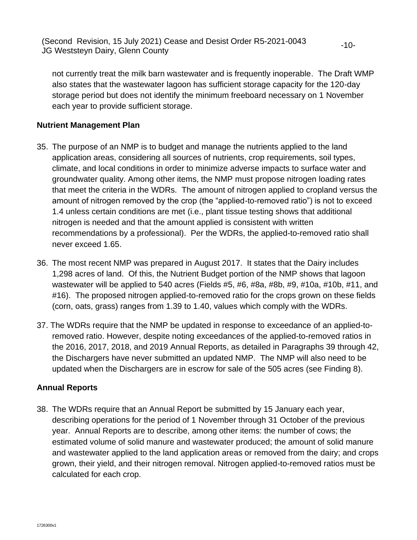not currently treat the milk barn wastewater and is frequently inoperable. The Draft WMP also states that the wastewater lagoon has sufficient storage capacity for the 120-day storage period but does not identify the minimum freeboard necessary on 1 November each year to provide sufficient storage.

-10-

#### **Nutrient Management Plan**

- 35. The purpose of an NMP is to budget and manage the nutrients applied to the land application areas, considering all sources of nutrients, crop requirements, soil types, climate, and local conditions in order to minimize adverse impacts to surface water and groundwater quality. Among other items, the NMP must propose nitrogen loading rates that meet the criteria in the WDRs. The amount of nitrogen applied to cropland versus the amount of nitrogen removed by the crop (the "applied-to-removed ratio") is not to exceed 1.4 unless certain conditions are met (i.e., plant tissue testing shows that additional nitrogen is needed and that the amount applied is consistent with written recommendations by a professional). Per the WDRs, the applied-to-removed ratio shall never exceed 1.65.
- 36. The most recent NMP was prepared in August 2017. It states that the Dairy includes 1,298 acres of land. Of this, the Nutrient Budget portion of the NMP shows that lagoon wastewater will be applied to 540 acres (Fields #5, #6, #8a, #8b, #9, #10a, #10b, #11, and #16). The proposed nitrogen applied-to-removed ratio for the crops grown on these fields (corn, oats, grass) ranges from 1.39 to 1.40, values which comply with the WDRs.
- 37. The WDRs require that the NMP be updated in response to exceedance of an applied-toremoved ratio. However, despite noting exceedances of the applied-to-removed ratios in the 2016, 2017, 2018, and 2019 Annual Reports, as detailed in Paragraphs 39 through 42, the Dischargers have never submitted an updated NMP. The NMP will also need to be updated when the Dischargers are in escrow for sale of the 505 acres (see Finding 8).

## **Annual Reports**

38. The WDRs require that an Annual Report be submitted by 15 January each year, describing operations for the period of 1 November through 31 October of the previous year. Annual Reports are to describe, among other items: the number of cows; the estimated volume of solid manure and wastewater produced; the amount of solid manure and wastewater applied to the land application areas or removed from the dairy; and crops grown, their yield, and their nitrogen removal. Nitrogen applied-to-removed ratios must be calculated for each crop.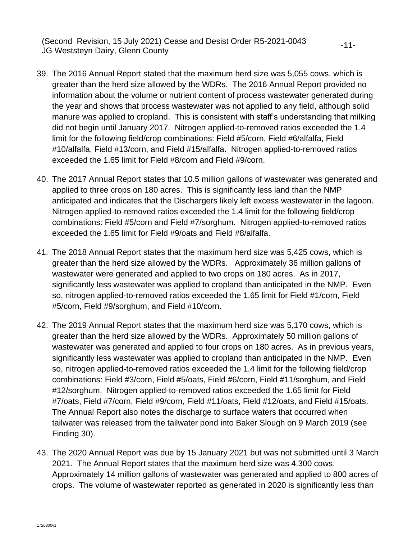39. The 2016 Annual Report stated that the maximum herd size was 5,055 cows, which is greater than the herd size allowed by the WDRs. The 2016 Annual Report provided no information about the volume or nutrient content of process wastewater generated during the year and shows that process wastewater was not applied to any field, although solid manure was applied to cropland. This is consistent with staff's understanding that milking did not begin until January 2017. Nitrogen applied-to-removed ratios exceeded the 1.4 limit for the following field/crop combinations: Field #5/corn, Field #6/alfalfa, Field #10/alfalfa, Field #13/corn, and Field #15/alfalfa. Nitrogen applied-to-removed ratios exceeded the 1.65 limit for Field #8/corn and Field #9/corn.

-11-

- 40. The 2017 Annual Report states that 10.5 million gallons of wastewater was generated and applied to three crops on 180 acres. This is significantly less land than the NMP anticipated and indicates that the Dischargers likely left excess wastewater in the lagoon. Nitrogen applied-to-removed ratios exceeded the 1.4 limit for the following field/crop combinations: Field #5/corn and Field #7/sorghum. Nitrogen applied-to-removed ratios exceeded the 1.65 limit for Field #9/oats and Field #8/alfalfa.
- 41. The 2018 Annual Report states that the maximum herd size was 5,425 cows, which is greater than the herd size allowed by the WDRs. Approximately 36 million gallons of wastewater were generated and applied to two crops on 180 acres. As in 2017, significantly less wastewater was applied to cropland than anticipated in the NMP. Even so, nitrogen applied-to-removed ratios exceeded the 1.65 limit for Field #1/corn, Field #5/corn, Field #9/sorghum, and Field #10/corn.
- 42. The 2019 Annual Report states that the maximum herd size was 5,170 cows, which is greater than the herd size allowed by the WDRs. Approximately 50 million gallons of wastewater was generated and applied to four crops on 180 acres. As in previous years, significantly less wastewater was applied to cropland than anticipated in the NMP. Even so, nitrogen applied-to-removed ratios exceeded the 1.4 limit for the following field/crop combinations: Field #3/corn, Field #5/oats, Field #6/corn, Field #11/sorghum, and Field #12/sorghum. Nitrogen applied-to-removed ratios exceeded the 1.65 limit for Field #7/oats, Field #7/corn, Field #9/corn, Field #11/oats, Field #12/oats, and Field #15/oats. The Annual Report also notes the discharge to surface waters that occurred when tailwater was released from the tailwater pond into Baker Slough on 9 March 2019 (see Finding 30).
- 43. The 2020 Annual Report was due by 15 January 2021 but was not submitted until 3 March 2021. The Annual Report states that the maximum herd size was 4,300 cows. Approximately 14 million gallons of wastewater was generated and applied to 800 acres of crops. The volume of wastewater reported as generated in 2020 is significantly less than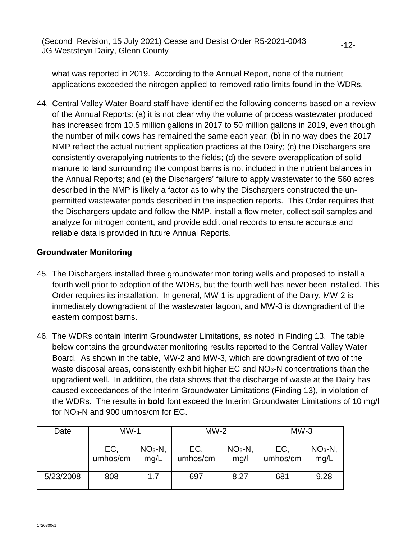what was reported in 2019. According to the Annual Report, none of the nutrient applications exceeded the nitrogen applied-to-removed ratio limits found in the WDRs.

-12-

44. Central Valley Water Board staff have identified the following concerns based on a review of the Annual Reports: (a) it is not clear why the volume of process wastewater produced has increased from 10.5 million gallons in 2017 to 50 million gallons in 2019, even though the number of milk cows has remained the same each year; (b) in no way does the 2017 NMP reflect the actual nutrient application practices at the Dairy; (c) the Dischargers are consistently overapplying nutrients to the fields; (d) the severe overapplication of solid manure to land surrounding the compost barns is not included in the nutrient balances in the Annual Reports; and (e) the Dischargers' failure to apply wastewater to the 560 acres described in the NMP is likely a factor as to why the Dischargers constructed the unpermitted wastewater ponds described in the inspection reports. This Order requires that the Dischargers update and follow the NMP, install a flow meter, collect soil samples and analyze for nitrogen content, and provide additional records to ensure accurate and reliable data is provided in future Annual Reports.

#### **Groundwater Monitoring**

- 45. The Dischargers installed three groundwater monitoring wells and proposed to install a fourth well prior to adoption of the WDRs, but the fourth well has never been installed. This Order requires its installation. In general, MW-1 is upgradient of the Dairy, MW-2 is immediately downgradient of the wastewater lagoon, and MW-3 is downgradient of the eastern compost barns.
- 46. The WDRs contain Interim Groundwater Limitations, as noted in Finding 13. The table below contains the groundwater monitoring results reported to the Central Valley Water Board. As shown in the table, MW-2 and MW-3, which are downgradient of two of the waste disposal areas, consistently exhibit higher EC and NO<sub>3</sub>-N concentrations than the upgradient well. In addition, the data shows that the discharge of waste at the Dairy has caused exceedances of the Interim Groundwater Limitations (Finding 13), in violation of the WDRs. The results in **bold** font exceed the Interim Groundwater Limitations of 10 mg/l for NO3-N and 900 umhos/cm for EC.

| Date      | $MW-1$          |                   | $MW-2$          |                   | $MW-3$          |                   |
|-----------|-----------------|-------------------|-----------------|-------------------|-----------------|-------------------|
|           | EC,<br>umhos/cm | $NO3-N$ ,<br>mq/L | EC,<br>umhos/cm | $NO3-N$ ,<br>mg/l | EC,<br>umhos/cm | $NO3-N$ ,<br>mg/L |
| 5/23/2008 | 808             | 1.7               | 697             | 8.27              | 681             | 9.28              |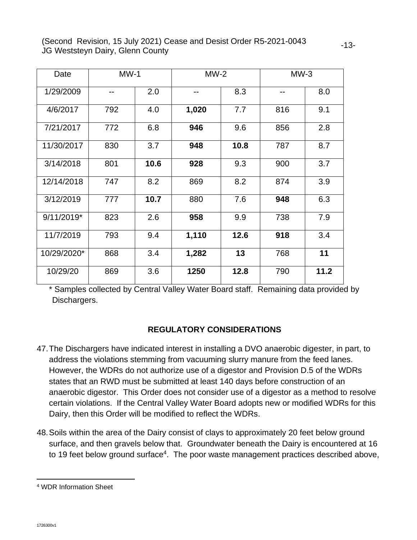| Date        | $MW-1$ |      | $MW-2$ |      | $MW-3$ |      |
|-------------|--------|------|--------|------|--------|------|
| 1/29/2009   | --     | 2.0  |        | 8.3  |        | 8.0  |
| 4/6/2017    | 792    | 4.0  | 1,020  | 7.7  | 816    | 9.1  |
| 7/21/2017   | 772    | 6.8  | 946    | 9.6  | 856    | 2.8  |
| 11/30/2017  | 830    | 3.7  | 948    | 10.8 | 787    | 8.7  |
| 3/14/2018   | 801    | 10.6 | 928    | 9.3  | 900    | 3.7  |
| 12/14/2018  | 747    | 8.2  | 869    | 8.2  | 874    | 3.9  |
| 3/12/2019   | 777    | 10.7 | 880    | 7.6  | 948    | 6.3  |
| 9/11/2019*  | 823    | 2.6  | 958    | 9.9  | 738    | 7.9  |
| 11/7/2019   | 793    | 9.4  | 1,110  | 12.6 | 918    | 3.4  |
| 10/29/2020* | 868    | 3.4  | 1,282  | 13   | 768    | 11   |
| 10/29/20    | 869    | 3.6  | 1250   | 12.8 | 790    | 11.2 |

\* Samples collected by Central Valley Water Board staff. Remaining data provided by Dischargers.

## **REGULATORY CONSIDERATIONS**

- 47.The Dischargers have indicated interest in installing a DVO anaerobic digester, in part, to address the violations stemming from vacuuming slurry manure from the feed lanes. However, the WDRs do not authorize use of a digestor and Provision D.5 of the WDRs states that an RWD must be submitted at least 140 days before construction of an anaerobic digestor. This Order does not consider use of a digestor as a method to resolve certain violations. If the Central Valley Water Board adopts new or modified WDRs for this Dairy, then this Order will be modified to reflect the WDRs.
- 48. Soils within the area of the Dairy consist of clays to approximately 20 feet below ground surface, and then gravels below that. Groundwater beneath the Dairy is encountered at 16 to 19 feet below ground surface<sup>4</sup>. The poor waste management practices described above,

<sup>4</sup> WDR Information Sheet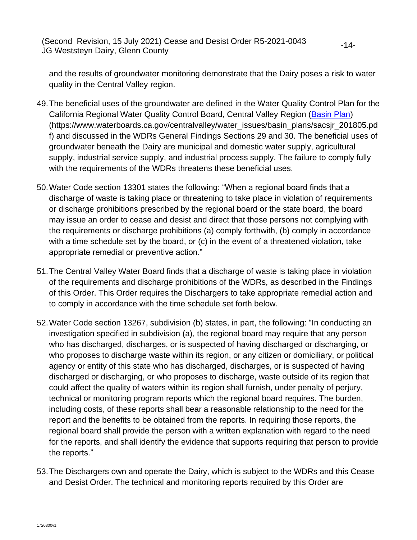and the results of groundwater monitoring demonstrate that the Dairy poses a risk to water quality in the Central Valley region.

- 49. The beneficial uses of the groundwater are defined in the Water Quality Control Plan for the California Regional Water Quality Control Board, Central Valley Region [\(Basin Plan\)](https://www.waterboards.ca.gov/centralvalley/water_issues/basin_plans/sacsjr_201805.pdf) (https://www.waterboards.ca.gov/centralvalley/water\_issues/basin\_plans/sacsjr\_201805.pd f) and discussed in the WDRs General Findings Sections 29 and 30. The beneficial uses of groundwater beneath the Dairy are municipal and domestic water supply, agricultural supply, industrial service supply, and industrial process supply. The failure to comply fully with the requirements of the WDRs threatens these beneficial uses.
- 50. Water Code section 13301 states the following: "When a regional board finds that a discharge of waste is taking place or threatening to take place in violation of requirements or discharge prohibitions prescribed by the regional board or the state board, the board may issue an order to cease and desist and direct that those persons not complying with the requirements or discharge prohibitions (a) comply forthwith, (b) comply in accordance with a time schedule set by the board, or (c) in the event of a threatened violation, take appropriate remedial or preventive action."
- 51. The Central Valley Water Board finds that a discharge of waste is taking place in violation of the requirements and discharge prohibitions of the WDRs, as described in the Findings of this Order. This Order requires the Dischargers to take appropriate remedial action and to comply in accordance with the time schedule set forth below.
- 52. Water Code section 13267, subdivision (b) states, in part, the following: "In conducting an investigation specified in subdivision (a), the regional board may require that any person who has discharged, discharges, or is suspected of having discharged or discharging, or who proposes to discharge waste within its region, or any citizen or domiciliary, or political agency or entity of this state who has discharged, discharges, or is suspected of having discharged or discharging, or who proposes to discharge, waste outside of its region that could affect the quality of waters within its region shall furnish, under penalty of perjury, technical or monitoring program reports which the regional board requires. The burden, including costs, of these reports shall bear a reasonable relationship to the need for the report and the benefits to be obtained from the reports. In requiring those reports, the regional board shall provide the person with a written explanation with regard to the need for the reports, and shall identify the evidence that supports requiring that person to provide the reports."
- 53. The Dischargers own and operate the Dairy, which is subject to the WDRs and this Cease and Desist Order. The technical and monitoring reports required by this Order are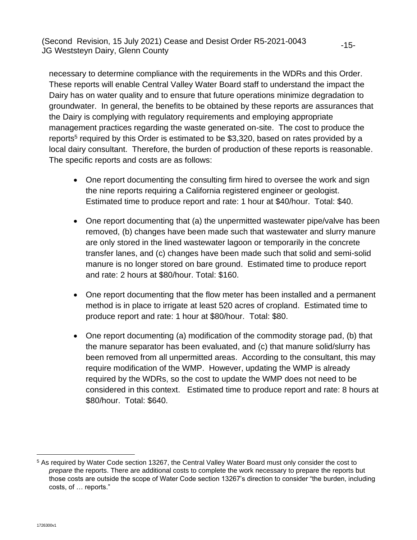necessary to determine compliance with the requirements in the WDRs and this Order. These reports will enable Central Valley Water Board staff to understand the impact the Dairy has on water quality and to ensure that future operations minimize degradation to groundwater. In general, the benefits to be obtained by these reports are assurances that the Dairy is complying with regulatory requirements and employing appropriate management practices regarding the waste generated on-site. The cost to produce the reports<sup>5</sup> required by this Order is estimated to be \$3,320, based on rates provided by a local dairy consultant. Therefore, the burden of production of these reports is reasonable. The specific reports and costs are as follows:

-15-

- One report documenting the consulting firm hired to oversee the work and sign the nine reports requiring a California registered engineer or geologist. Estimated time to produce report and rate: 1 hour at \$40/hour. Total: \$40.
- One report documenting that (a) the unpermitted wastewater pipe/valve has been removed, (b) changes have been made such that wastewater and slurry manure are only stored in the lined wastewater lagoon or temporarily in the concrete transfer lanes, and (c) changes have been made such that solid and semi-solid manure is no longer stored on bare ground. Estimated time to produce report and rate: 2 hours at \$80/hour. Total: \$160.
- One report documenting that the flow meter has been installed and a permanent method is in place to irrigate at least 520 acres of cropland. Estimated time to produce report and rate: 1 hour at \$80/hour. Total: \$80.
- One report documenting (a) modification of the commodity storage pad, (b) that the manure separator has been evaluated, and (c) that manure solid/slurry has been removed from all unpermitted areas. According to the consultant, this may require modification of the WMP. However, updating the WMP is already required by the WDRs, so the cost to update the WMP does not need to be considered in this context. Estimated time to produce report and rate: 8 hours at \$80/hour. Total: \$640.

<sup>&</sup>lt;sup>5</sup> As required by Water Code section 13267, the Central Valley Water Board must only consider the cost to *prepare* the reports. There are additional costs to complete the work necessary to prepare the reports but those costs are outside the scope of Water Code section 13267's direction to consider "the burden, including costs, of … reports."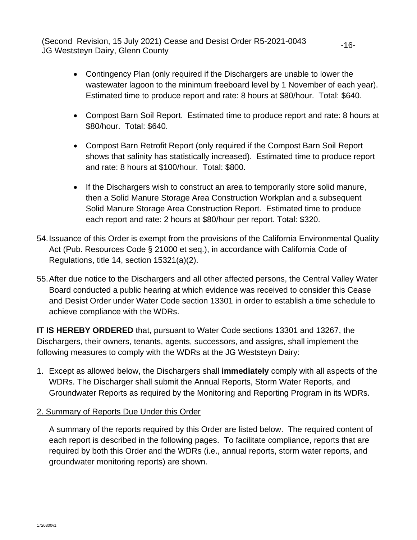> • Contingency Plan (only required if the Dischargers are unable to lower the wastewater lagoon to the minimum freeboard level by 1 November of each year). Estimated time to produce report and rate: 8 hours at \$80/hour. Total: \$640.

-16-

- Compost Barn Soil Report. Estimated time to produce report and rate: 8 hours at \$80/hour. Total: \$640.
- Compost Barn Retrofit Report (only required if the Compost Barn Soil Report shows that salinity has statistically increased). Estimated time to produce report and rate: 8 hours at \$100/hour. Total: \$800.
- If the Dischargers wish to construct an area to temporarily store solid manure, then a Solid Manure Storage Area Construction Workplan and a subsequent Solid Manure Storage Area Construction Report. Estimated time to produce each report and rate: 2 hours at \$80/hour per report. Total: \$320.
- 54. Issuance of this Order is exempt from the provisions of the California Environmental Quality Act (Pub. Resources Code § 21000 et seq.), in accordance with California Code of Regulations, title 14, section 15321(a)(2).
- 55. After due notice to the Dischargers and all other affected persons, the Central Valley Water Board conducted a public hearing at which evidence was received to consider this Cease and Desist Order under Water Code section 13301 in order to establish a time schedule to achieve compliance with the WDRs.

**IT IS HEREBY ORDERED** that, pursuant to Water Code sections 13301 and 13267, the Dischargers, their owners, tenants, agents, successors, and assigns, shall implement the following measures to comply with the WDRs at the JG Weststeyn Dairy:

- 1. Except as allowed below, the Dischargers shall **immediately** comply with all aspects of the WDRs. The Discharger shall submit the Annual Reports, Storm Water Reports, and Groundwater Reports as required by the Monitoring and Reporting Program in its WDRs.
- 2. Summary of Reports Due Under this Order

A summary of the reports required by this Order are listed below. The required content of each report is described in the following pages. To facilitate compliance, reports that are required by both this Order and the WDRs (i.e., annual reports, storm water reports, and groundwater monitoring reports) are shown.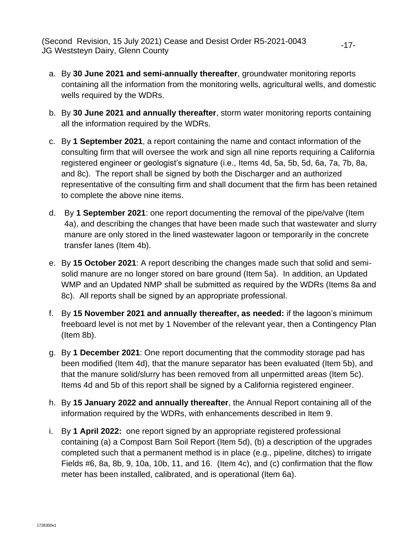a. By **30 June 2021 and semi-annually thereafter**, groundwater monitoring reports containing all the information from the monitoring wells, agricultural wells, and domestic wells required by the WDRs.

-17-

- b. By **30 June 2021 and annually thereafter**, storm water monitoring reports containing all the information required by the WDRs.
- c. By **1 September 2021**, a report containing the name and contact information of the consulting firm that will oversee the work and sign all nine reports requiring a California registered engineer or geologist's signature (i.e., Items 4d, 5a, 5b, 5d, 6a, 7a, 7b, 8a, and 8c). The report shall be signed by both the Discharger and an authorized representative of the consulting firm and shall document that the firm has been retained to complete the above nine items.
- d. By **1 September 2021**: one report documenting the removal of the pipe/valve (Item 4a), and describing the changes that have been made such that wastewater and slurry manure are only stored in the lined wastewater lagoon or temporarily in the concrete transfer lanes (Item 4b).
- e. By **15 October 2021**: A report describing the changes made such that solid and semisolid manure are no longer stored on bare ground (Item 5a). In addition, an Updated WMP and an Updated NMP shall be submitted as required by the WDRs (Items 8a and 8c). All reports shall be signed by an appropriate professional.
- f. By **15 November 2021 and annually thereafter, as needed:** if the lagoon's minimum freeboard level is not met by 1 November of the relevant year, then a Contingency Plan (Item 8b).
- g. By **1 December 2021**: One report documenting that the commodity storage pad has been modified (Item 4d), that the manure separator has been evaluated (Item 5b), and that the manure solid/slurry has been removed from all unpermitted areas (Item 5c). Items 4d and 5b of this report shall be signed by a California registered engineer.
- h. By **15 January 2022 and annually thereafter**, the Annual Report containing all of the information required by the WDRs, with enhancements described in Item 9.
- i. By **1 April 2022:** one report signed by an appropriate registered professional containing (a) a Compost Barn Soil Report (Item 5d), (b) a description of the upgrades completed such that a permanent method is in place (e.g., pipeline, ditches) to irrigate Fields #6, 8a, 8b, 9, 10a, 10b, 11, and 16. (Item 4c), and (c) confirmation that the flow meter has been installed, calibrated, and is operational (Item 6a).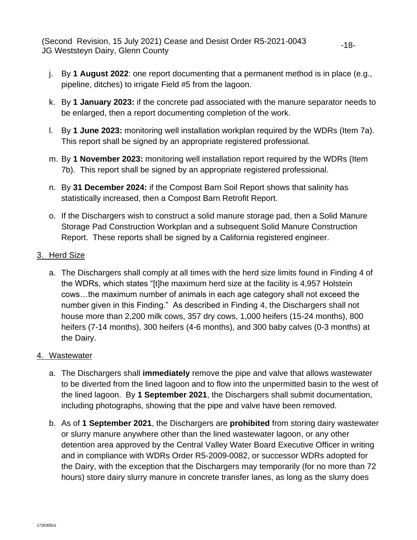j. By **1 August 2022**: one report documenting that a permanent method is in place (e.g., pipeline, ditches) to irrigate Field #5 from the lagoon.

-18-

- k. By **1 January 2023:** if the concrete pad associated with the manure separator needs to be enlarged, then a report documenting completion of the work.
- l. By **1 June 2023:** monitoring well installation workplan required by the WDRs (Item 7a). This report shall be signed by an appropriate registered professional.
- m. By **1 November 2023:** monitoring well installation report required by the WDRs (Item 7b). This report shall be signed by an appropriate registered professional.
- n. By **31 December 2024:** if the Compost Barn Soil Report shows that salinity has statistically increased, then a Compost Barn Retrofit Report.
- o. If the Dischargers wish to construct a solid manure storage pad, then a Solid Manure Storage Pad Construction Workplan and a subsequent Solid Manure Construction Report. These reports shall be signed by a California registered engineer.
- 3. Herd Size
	- a. The Dischargers shall comply at all times with the herd size limits found in Finding 4 of the WDRs, which states "[t]he maximum herd size at the facility is 4,957 Holstein cows…the maximum number of animals in each age category shall not exceed the number given in this Finding." As described in Finding 4, the Dischargers shall not house more than 2,200 milk cows, 357 dry cows, 1,000 heifers (15-24 months), 800 heifers (7-14 months), 300 heifers (4-6 months), and 300 baby calves (0-3 months) at the Dairy.

#### 4. Wastewater

- a. The Dischargers shall **immediately** remove the pipe and valve that allows wastewater to be diverted from the lined lagoon and to flow into the unpermitted basin to the west of the lined lagoon. By **1 September 2021**, the Dischargers shall submit documentation, including photographs, showing that the pipe and valve have been removed.
- b. As of **1 September 2021**, the Dischargers are **prohibited** from storing dairy wastewater or slurry manure anywhere other than the lined wastewater lagoon, or any other detention area approved by the Central Valley Water Board Executive Officer in writing and in compliance with WDRs Order R5-2009-0082, or successor WDRs adopted for the Dairy, with the exception that the Dischargers may temporarily (for no more than 72 hours) store dairy slurry manure in concrete transfer lanes, as long as the slurry does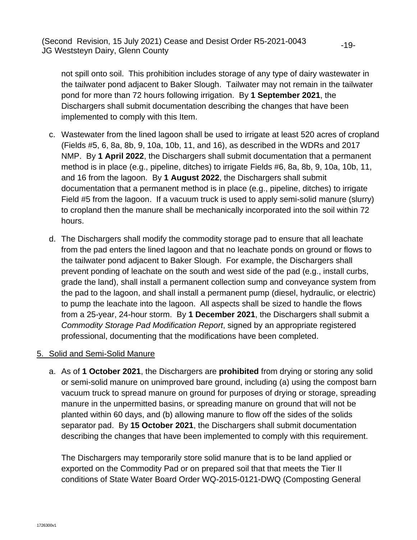not spill onto soil. This prohibition includes storage of any type of dairy wastewater in the tailwater pond adjacent to Baker Slough. Tailwater may not remain in the tailwater pond for more than 72 hours following irrigation. By **1 September 2021**, the Dischargers shall submit documentation describing the changes that have been implemented to comply with this Item.

-19-

- c. Wastewater from the lined lagoon shall be used to irrigate at least 520 acres of cropland (Fields #5, 6, 8a, 8b, 9, 10a, 10b, 11, and 16), as described in the WDRs and 2017 NMP. By **1 April 2022**, the Dischargers shall submit documentation that a permanent method is in place (e.g., pipeline, ditches) to irrigate Fields #6, 8a, 8b, 9, 10a, 10b, 11, and 16 from the lagoon. By **1 August 2022**, the Dischargers shall submit documentation that a permanent method is in place (e.g., pipeline, ditches) to irrigate Field #5 from the lagoon. If a vacuum truck is used to apply semi-solid manure (slurry) to cropland then the manure shall be mechanically incorporated into the soil within 72 hours.
- d. The Dischargers shall modify the commodity storage pad to ensure that all leachate from the pad enters the lined lagoon and that no leachate ponds on ground or flows to the tailwater pond adjacent to Baker Slough. For example, the Dischargers shall prevent ponding of leachate on the south and west side of the pad (e.g., install curbs, grade the land), shall install a permanent collection sump and conveyance system from the pad to the lagoon, and shall install a permanent pump (diesel, hydraulic, or electric) to pump the leachate into the lagoon. All aspects shall be sized to handle the flows from a 25-year, 24-hour storm. By **1 December 2021**, the Dischargers shall submit a *Commodity Storage Pad Modification Report*, signed by an appropriate registered professional, documenting that the modifications have been completed.

#### 5. Solid and Semi-Solid Manure

a. As of **1 October 2021**, the Dischargers are **prohibited** from drying or storing any solid or semi-solid manure on unimproved bare ground, including (a) using the compost barn vacuum truck to spread manure on ground for purposes of drying or storage, spreading manure in the unpermitted basins, or spreading manure on ground that will not be planted within 60 days, and (b) allowing manure to flow off the sides of the solids separator pad. By **15 October 2021**, the Dischargers shall submit documentation describing the changes that have been implemented to comply with this requirement.

The Dischargers may temporarily store solid manure that is to be land applied or exported on the Commodity Pad or on prepared soil that that meets the Tier II conditions of State Water Board Order WQ-2015-0121-DWQ (Composting General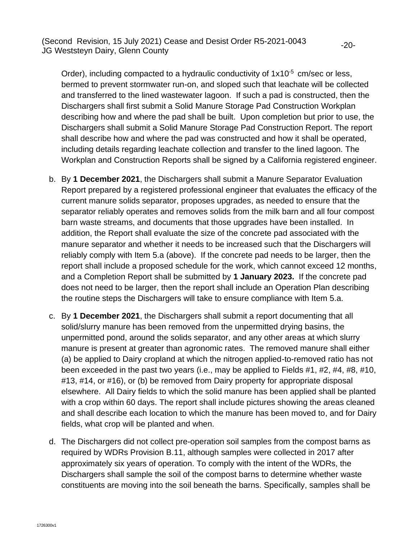Order), including compacted to a hydraulic conductivity of  $1x10^{-5}$  cm/sec or less, bermed to prevent stormwater run-on, and sloped such that leachate will be collected and transferred to the lined wastewater lagoon. If such a pad is constructed, then the Dischargers shall first submit a Solid Manure Storage Pad Construction Workplan describing how and where the pad shall be built. Upon completion but prior to use, the Dischargers shall submit a Solid Manure Storage Pad Construction Report. The report shall describe how and where the pad was constructed and how it shall be operated, including details regarding leachate collection and transfer to the lined lagoon. The Workplan and Construction Reports shall be signed by a California registered engineer.

-20-

- b. By **1 December 2021**, the Dischargers shall submit a Manure Separator Evaluation Report prepared by a registered professional engineer that evaluates the efficacy of the current manure solids separator, proposes upgrades, as needed to ensure that the separator reliably operates and removes solids from the milk barn and all four compost barn waste streams, and documents that those upgrades have been installed. In addition, the Report shall evaluate the size of the concrete pad associated with the manure separator and whether it needs to be increased such that the Dischargers will reliably comply with Item 5.a (above). If the concrete pad needs to be larger, then the report shall include a proposed schedule for the work, which cannot exceed 12 months, and a Completion Report shall be submitted by **1 January 2023.** If the concrete pad does not need to be larger, then the report shall include an Operation Plan describing the routine steps the Dischargers will take to ensure compliance with Item 5.a.
- c. By **1 December 2021**, the Dischargers shall submit a report documenting that all solid/slurry manure has been removed from the unpermitted drying basins, the unpermitted pond, around the solids separator, and any other areas at which slurry manure is present at greater than agronomic rates. The removed manure shall either (a) be applied to Dairy cropland at which the nitrogen applied-to-removed ratio has not been exceeded in the past two years (i.e., may be applied to Fields #1, #2, #4, #8, #10, #13, #14, or #16), or (b) be removed from Dairy property for appropriate disposal elsewhere. All Dairy fields to which the solid manure has been applied shall be planted with a crop within 60 days. The report shall include pictures showing the areas cleaned and shall describe each location to which the manure has been moved to, and for Dairy fields, what crop will be planted and when.
- d. The Dischargers did not collect pre-operation soil samples from the compost barns as required by WDRs Provision B.11, although samples were collected in 2017 after approximately six years of operation. To comply with the intent of the WDRs, the Dischargers shall sample the soil of the compost barns to determine whether waste constituents are moving into the soil beneath the barns. Specifically, samples shall be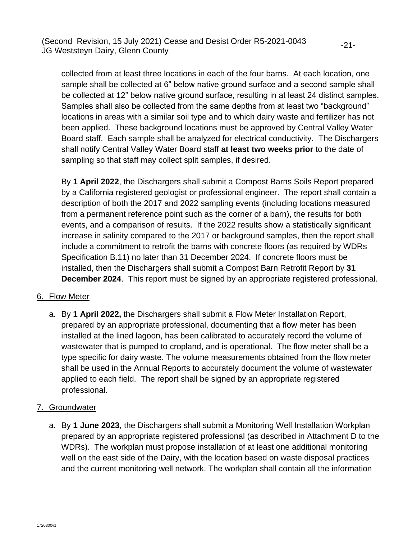collected from at least three locations in each of the four barns. At each location, one sample shall be collected at 6" below native ground surface and a second sample shall be collected at 12" below native ground surface, resulting in at least 24 distinct samples. Samples shall also be collected from the same depths from at least two "background" locations in areas with a similar soil type and to which dairy waste and fertilizer has not been applied. These background locations must be approved by Central Valley Water Board staff. Each sample shall be analyzed for electrical conductivity. The Dischargers shall notify Central Valley Water Board staff **at least two weeks prior** to the date of sampling so that staff may collect split samples, if desired.

-21-

By **1 April 2022**, the Dischargers shall submit a Compost Barns Soils Report prepared by a California registered geologist or professional engineer. The report shall contain a description of both the 2017 and 2022 sampling events (including locations measured from a permanent reference point such as the corner of a barn), the results for both events, and a comparison of results. If the 2022 results show a statistically significant increase in salinity compared to the 2017 or background samples, then the report shall include a commitment to retrofit the barns with concrete floors (as required by WDRs Specification B.11) no later than 31 December 2024. If concrete floors must be installed, then the Dischargers shall submit a Compost Barn Retrofit Report by **31 December 2024**. This report must be signed by an appropriate registered professional.

#### 6. Flow Meter

a. By **1 April 2022,** the Dischargers shall submit a Flow Meter Installation Report, prepared by an appropriate professional, documenting that a flow meter has been installed at the lined lagoon, has been calibrated to accurately record the volume of wastewater that is pumped to cropland, and is operational. The flow meter shall be a type specific for dairy waste. The volume measurements obtained from the flow meter shall be used in the Annual Reports to accurately document the volume of wastewater applied to each field. The report shall be signed by an appropriate registered professional.

## 7. Groundwater

a. By **1 June 2023**, the Dischargers shall submit a Monitoring Well Installation Workplan prepared by an appropriate registered professional (as described in Attachment D to the WDRs). The workplan must propose installation of at least one additional monitoring well on the east side of the Dairy, with the location based on waste disposal practices and the current monitoring well network. The workplan shall contain all the information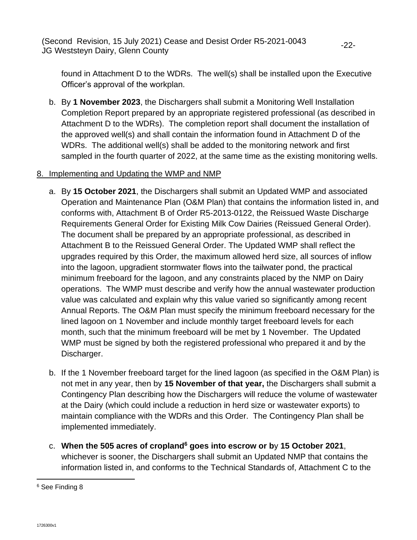found in Attachment D to the WDRs. The well(s) shall be installed upon the Executive Officer's approval of the workplan.

b. By **1 November 2023**, the Dischargers shall submit a Monitoring Well Installation Completion Report prepared by an appropriate registered professional (as described in Attachment D to the WDRs). The completion report shall document the installation of the approved well(s) and shall contain the information found in Attachment D of the WDRs. The additional well(s) shall be added to the monitoring network and first sampled in the fourth quarter of 2022, at the same time as the existing monitoring wells.

#### 8. Implementing and Updating the WMP and NMP

- a. By **15 October 2021**, the Dischargers shall submit an Updated WMP and associated Operation and Maintenance Plan (O&M Plan) that contains the information listed in, and conforms with, Attachment B of Order R5-2013-0122, the Reissued Waste Discharge Requirements General Order for Existing Milk Cow Dairies (Reissued General Order). The document shall be prepared by an appropriate professional, as described in Attachment B to the Reissued General Order. The Updated WMP shall reflect the upgrades required by this Order, the maximum allowed herd size, all sources of inflow into the lagoon, upgradient stormwater flows into the tailwater pond, the practical minimum freeboard for the lagoon, and any constraints placed by the NMP on Dairy operations. The WMP must describe and verify how the annual wastewater production value was calculated and explain why this value varied so significantly among recent Annual Reports. The O&M Plan must specify the minimum freeboard necessary for the lined lagoon on 1 November and include monthly target freeboard levels for each month, such that the minimum freeboard will be met by 1 November. The Updated WMP must be signed by both the registered professional who prepared it and by the Discharger.
- b. If the 1 November freeboard target for the lined lagoon (as specified in the O&M Plan) is not met in any year, then by **15 November of that year,** the Dischargers shall submit a Contingency Plan describing how the Dischargers will reduce the volume of wastewater at the Dairy (which could include a reduction in herd size or wastewater exports) to maintain compliance with the WDRs and this Order. The Contingency Plan shall be implemented immediately.
- c. **When the 505 acres of cropland<sup>6</sup> goes into escrow or b**y **15 October 2021**, whichever is sooner, the Dischargers shall submit an Updated NMP that contains the information listed in, and conforms to the Technical Standards of, Attachment C to the

<sup>6</sup> See Finding 8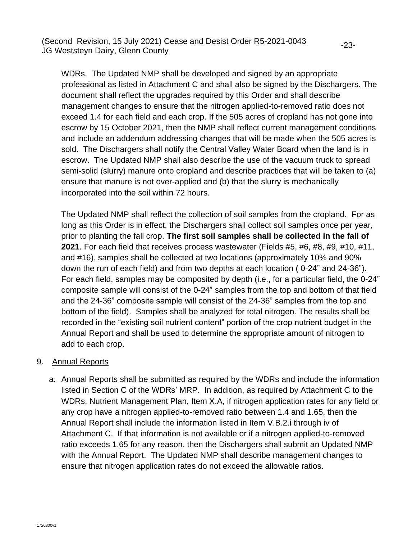WDRs. The Updated NMP shall be developed and signed by an appropriate professional as listed in Attachment C and shall also be signed by the Dischargers. The document shall reflect the upgrades required by this Order and shall describe management changes to ensure that the nitrogen applied-to-removed ratio does not exceed 1.4 for each field and each crop. If the 505 acres of cropland has not gone into escrow by 15 October 2021, then the NMP shall reflect current management conditions and include an addendum addressing changes that will be made when the 505 acres is sold. The Dischargers shall notify the Central Valley Water Board when the land is in escrow. The Updated NMP shall also describe the use of the vacuum truck to spread semi-solid (slurry) manure onto cropland and describe practices that will be taken to (a) ensure that manure is not over-applied and (b) that the slurry is mechanically incorporated into the soil within 72 hours.

The Updated NMP shall reflect the collection of soil samples from the cropland. For as long as this Order is in effect, the Dischargers shall collect soil samples once per year, prior to planting the fall crop. **The first soil samples shall be collected in the fall of 2021**. For each field that receives process wastewater (Fields #5, #6, #8, #9, #10, #11, and #16), samples shall be collected at two locations (approximately 10% and 90% down the run of each field) and from two depths at each location ( 0-24" and 24-36"). For each field, samples may be composited by depth (i.e., for a particular field, the 0-24" composite sample will consist of the 0-24" samples from the top and bottom of that field and the 24-36" composite sample will consist of the 24-36" samples from the top and bottom of the field). Samples shall be analyzed for total nitrogen. The results shall be recorded in the "existing soil nutrient content" portion of the crop nutrient budget in the Annual Report and shall be used to determine the appropriate amount of nitrogen to add to each crop.

#### 9. Annual Reports

a. Annual Reports shall be submitted as required by the WDRs and include the information listed in Section C of the WDRs' MRP. In addition, as required by Attachment C to the WDRs, Nutrient Management Plan, Item X.A, if nitrogen application rates for any field or any crop have a nitrogen applied-to-removed ratio between 1.4 and 1.65, then the Annual Report shall include the information listed in Item V.B.2.i through iv of Attachment C. If that information is not available or if a nitrogen applied-to-removed ratio exceeds 1.65 for any reason, then the Dischargers shall submit an Updated NMP with the Annual Report. The Updated NMP shall describe management changes to ensure that nitrogen application rates do not exceed the allowable ratios.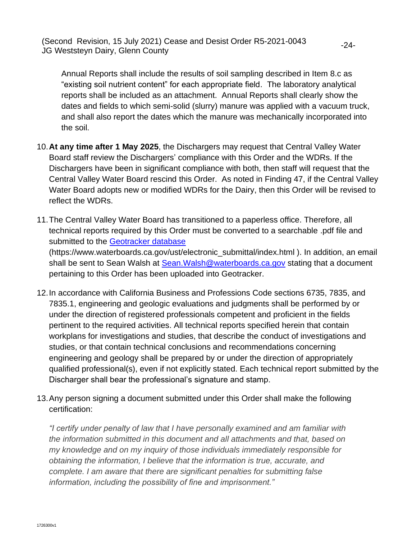Annual Reports shall include the results of soil sampling described in Item 8.c as "existing soil nutrient content" for each appropriate field. The laboratory analytical reports shall be included as an attachment. Annual Reports shall clearly show the dates and fields to which semi-solid (slurry) manure was applied with a vacuum truck, and shall also report the dates which the manure was mechanically incorporated into the soil.

-24-

- 10.**At any time after 1 May 2025**, the Dischargers may request that Central Valley Water Board staff review the Dischargers' compliance with this Order and the WDRs. If the Dischargers have been in significant compliance with both, then staff will request that the Central Valley Water Board rescind this Order. As noted in Finding 47, if the Central Valley Water Board adopts new or modified WDRs for the Dairy, then this Order will be revised to reflect the WDRs.
- 11. The Central Valley Water Board has transitioned to a paperless office. Therefore, all technical reports required by this Order must be converted to a searchable .pdf file and submitted to the [Geotracker database](https://www.waterboards.ca.gov/ust/electronic_submittal/index.html) (https://www.waterboards.ca.gov/ust/electronic\_submittal/index.html ). In addition, an email shall be sent to Sean Walsh at Sean. Walsh@waterboards.ca.gov stating that a document pertaining to this Order has been uploaded into Geotracker.
- 12. In accordance with California Business and Professions Code sections 6735, 7835, and 7835.1, engineering and geologic evaluations and judgments shall be performed by or under the direction of registered professionals competent and proficient in the fields pertinent to the required activities. All technical reports specified herein that contain workplans for investigations and studies, that describe the conduct of investigations and studies, or that contain technical conclusions and recommendations concerning engineering and geology shall be prepared by or under the direction of appropriately qualified professional(s), even if not explicitly stated. Each technical report submitted by the Discharger shall bear the professional's signature and stamp.
- 13. Any person signing a document submitted under this Order shall make the following certification:

*"I certify under penalty of law that I have personally examined and am familiar with the information submitted in this document and all attachments and that, based on my knowledge and on my inquiry of those individuals immediately responsible for obtaining the information, I believe that the information is true, accurate, and complete. I am aware that there are significant penalties for submitting false information, including the possibility of fine and imprisonment."*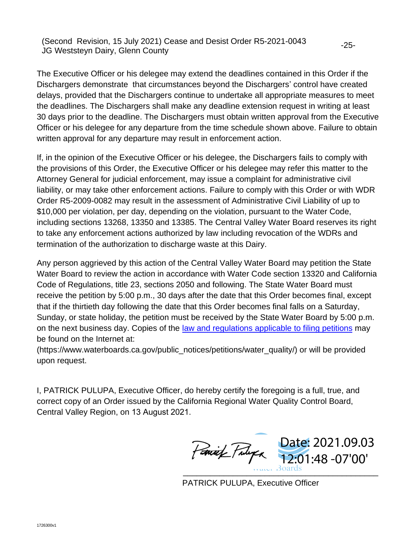The Executive Officer or his delegee may extend the deadlines contained in this Order if the Dischargers demonstrate that circumstances beyond the Dischargers' control have created delays, provided that the Dischargers continue to undertake all appropriate measures to meet the deadlines. The Dischargers shall make any deadline extension request in writing at least 30 days prior to the deadline. The Dischargers must obtain written approval from the Executive Officer or his delegee for any departure from the time schedule shown above. Failure to obtain written approval for any departure may result in enforcement action.

If, in the opinion of the Executive Officer or his delegee, the Dischargers fails to comply with the provisions of this Order, the Executive Officer or his delegee may refer this matter to the Attorney General for judicial enforcement, may issue a complaint for administrative civil liability, or may take other enforcement actions. Failure to comply with this Order or with WDR Order R5-2009-0082 may result in the assessment of Administrative Civil Liability of up to \$10,000 per violation, per day, depending on the violation, pursuant to the Water Code, including sections 13268, 13350 and 13385. The Central Valley Water Board reserves its right to take any enforcement actions authorized by law including revocation of the WDRs and termination of the authorization to discharge waste at this Dairy.

Any person aggrieved by this action of the Central Valley Water Board may petition the State Water Board to review the action in accordance with Water Code section 13320 and California Code of Regulations, title 23, sections 2050 and following. The State Water Board must receive the petition by 5:00 p.m., 30 days after the date that this Order becomes final, except that if the thirtieth day following the date that this Order becomes final falls on a Saturday, Sunday, or state holiday, the petition must be received by the State Water Board by 5:00 p.m. on the next business day. Copies of the [law and regulations applicable to filing petitions](https://www.waterboards.ca.gov/public_notices/petitions/water_quality/) may be found on the Internet at:

(https://www.waterboards.ca.gov/public\_notices/petitions/water\_quality/) or will be provided upon request.

I, PATRICK PULUPA, Executive Officer, do hereby certify the foregoing is a full, true, and correct copy of an Order issued by the California Regional Water Quality Control Board, Central Valley Region, on 13 August 2021.

 $\frac{1}{\sqrt{1-\frac{1}{2}}\sqrt{1-\frac{1}{2}}\sqrt{1-\frac{1}{2}}\sqrt{1-\frac{1}{2}}\sqrt{1-\frac{1}{2}}\sqrt{1-\frac{1}{2}}\sqrt{1-\frac{1}{2}}\sqrt{1-\frac{1}{2}}\sqrt{1-\frac{1}{2}}\sqrt{1-\frac{1}{2}}\sqrt{1-\frac{1}{2}}\sqrt{1-\frac{1}{2}}\sqrt{1-\frac{1}{2}}\sqrt{1-\frac{1}{2}}\sqrt{1-\frac{1}{2}}\sqrt{1-\frac{1}{2}}\sqrt{1-\frac{1}{2}}\sqrt{1-\frac{1}{2}}\sqrt{1-\frac{1}{2}}\sqrt{1-\frac$ Date: 2021.09.03 12:01:48 -07'00'

PATRICK PULUPA, Executive Officer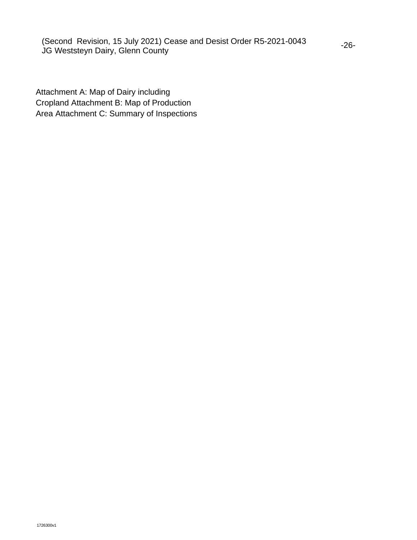Attachment A: Map of Dairy including Cropland Attachment B: Map of Production Area Attachment C: Summary of Inspections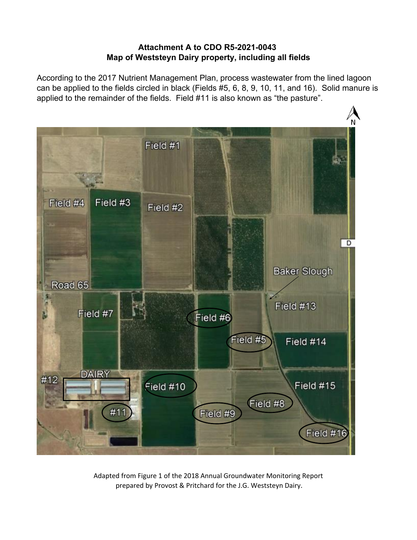## **Attachment A to CDO R5-2021-0043 Map of Weststeyn Dairy property, including all fields**

According to the 2017 Nutrient Management Plan, process wastewater from the lined lagoon can be applied to the fields circled in black (Fields #5, 6, 8, 9, 10, 11, and 16). Solid manure is applied to the remainder of the fields. Field #11 is also known as "the pasture".



Adapted from Figure 1 of the 2018 Annual Groundwater Monitoring Report prepared by Provost & Pritchard for the J.G. Weststeyn Dairy.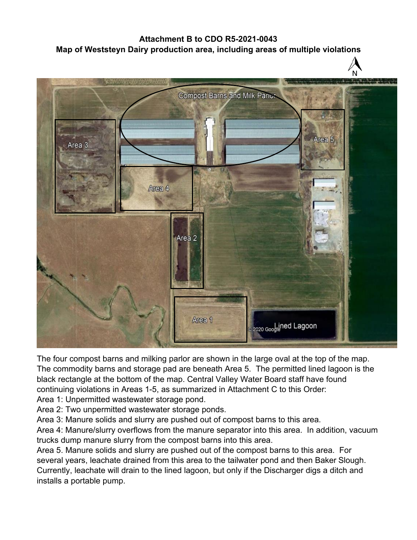## **Attachment B to CDO R5-2021-0043 Map of Weststeyn Dairy production area, including areas of multiple violations**



The four compost barns and milking parlor are shown in the large oval at the top of the map. The commodity barns and storage pad are beneath Area 5. The permitted lined lagoon is the black rectangle at the bottom of the map. Central Valley Water Board staff have found continuing violations in Areas 1-5, as summarized in Attachment C to this Order:

Area 1: Unpermitted wastewater storage pond.

Area 2: Two unpermitted wastewater storage ponds.

Area 3: Manure solids and slurry are pushed out of compost barns to this area.

Area 4: Manure/slurry overflows from the manure separator into this area. In addition, vacuum trucks dump manure slurry from the compost barns into this area.

Area 5. Manure solids and slurry are pushed out of the compost barns to this area. For several years, leachate drained from this area to the tailwater pond and then Baker Slough. Currently, leachate will drain to the lined lagoon, but only if the Discharger digs a ditch and installs a portable pump.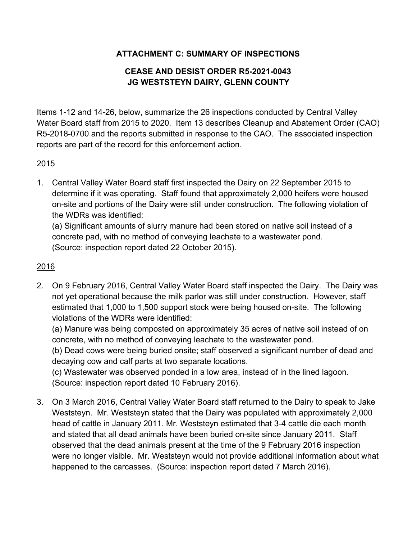# **ATTACHMENT C: SUMMARY OF INSPECTIONS**

# **CEASE AND DESIST ORDER R5-2021-0043 JG WESTSTEYN DAIRY, GLENN COUNTY**

Items 1-12 and 14-26, below, summarize the 26 inspections conducted by Central Valley Water Board staff from 2015 to 2020. Item 13 describes Cleanup and Abatement Order (CAO) R5-2018-0700 and the reports submitted in response to the CAO. The associated inspection reports are part of the record for this enforcement action.

# 2015

1. Central Valley Water Board staff first inspected the Dairy on 22 September 2015 to determine if it was operating. Staff found that approximately 2,000 heifers were housed on-site and portions of the Dairy were still under construction. The following violation of the WDRs was identified:

(a) Significant amounts of slurry manure had been stored on native soil instead of a concrete pad, with no method of conveying leachate to a wastewater pond. (Source: inspection report dated 22 October 2015).

# 2016

2. On 9 February 2016, Central Valley Water Board staff inspected the Dairy. The Dairy was not yet operational because the milk parlor was still under construction. However, staff estimated that 1,000 to 1,500 support stock were being housed on-site. The following violations of the WDRs were identified:

(a) Manure was being composted on approximately 35 acres of native soil instead of on concrete, with no method of conveying leachate to the wastewater pond.

(b) Dead cows were being buried onsite; staff observed a significant number of dead and decaying cow and calf parts at two separate locations.

(c) Wastewater was observed ponded in a low area, instead of in the lined lagoon. (Source: inspection report dated 10 February 2016).

3. On 3 March 2016, Central Valley Water Board staff returned to the Dairy to speak to Jake Weststeyn. Mr. Weststeyn stated that the Dairy was populated with approximately 2,000 head of cattle in January 2011. Mr. Weststeyn estimated that 3-4 cattle die each month and stated that all dead animals have been buried on-site since January 2011. Staff observed that the dead animals present at the time of the 9 February 2016 inspection were no longer visible. Mr. Weststeyn would not provide additional information about what happened to the carcasses. (Source: inspection report dated 7 March 2016).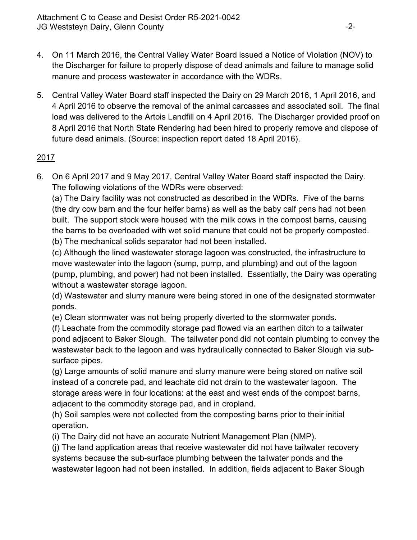- 4. On 11 March 2016, the Central Valley Water Board issued a Notice of Violation (NOV) to the Discharger for failure to properly dispose of dead animals and failure to manage solid manure and process wastewater in accordance with the WDRs.
- 5. Central Valley Water Board staff inspected the Dairy on 29 March 2016, 1 April 2016, and 4 April 2016 to observe the removal of the animal carcasses and associated soil. The final load was delivered to the Artois Landfill on 4 April 2016. The Discharger provided proof on 8 April 2016 that North State Rendering had been hired to properly remove and dispose of future dead animals. (Source: inspection report dated 18 April 2016).

# 2017

6. On 6 April 2017 and 9 May 2017, Central Valley Water Board staff inspected the Dairy. The following violations of the WDRs were observed:

(a) The Dairy facility was not constructed as described in the WDRs. Five of the barns (the dry cow barn and the four heifer barns) as well as the baby calf pens had not been built. The support stock were housed with the milk cows in the compost barns, causing the barns to be overloaded with wet solid manure that could not be properly composted.

(b) The mechanical solids separator had not been installed.

(c) Although the lined wastewater storage lagoon was constructed, the infrastructure to move wastewater into the lagoon (sump, pump, and plumbing) and out of the lagoon (pump, plumbing, and power) had not been installed. Essentially, the Dairy was operating without a wastewater storage lagoon.

(d) Wastewater and slurry manure were being stored in one of the designated stormwater ponds.

(e) Clean stormwater was not being properly diverted to the stormwater ponds.

(f) Leachate from the commodity storage pad flowed via an earthen ditch to a tailwater pond adjacent to Baker Slough. The tailwater pond did not contain plumbing to convey the wastewater back to the lagoon and was hydraulically connected to Baker Slough via subsurface pipes.

(g) Large amounts of solid manure and slurry manure were being stored on native soil instead of a concrete pad, and leachate did not drain to the wastewater lagoon. The storage areas were in four locations: at the east and west ends of the compost barns, adjacent to the commodity storage pad, and in cropland.

(h) Soil samples were not collected from the composting barns prior to their initial operation.

(i) The Dairy did not have an accurate Nutrient Management Plan (NMP).

(j) The land application areas that receive wastewater did not have tailwater recovery systems because the sub-surface plumbing between the tailwater ponds and the wastewater lagoon had not been installed. In addition, fields adjacent to Baker Slough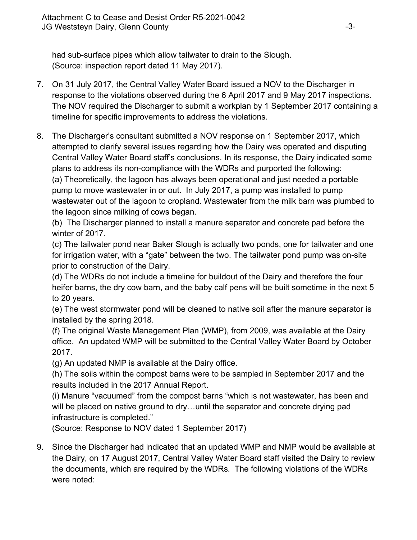had sub-surface pipes which allow tailwater to drain to the Slough. (Source: inspection report dated 11 May 2017).

- 7. On 31 July 2017, the Central Valley Water Board issued a NOV to the Discharger in response to the violations observed during the 6 April 2017 and 9 May 2017 inspections. The NOV required the Discharger to submit a workplan by 1 September 2017 containing a timeline for specific improvements to address the violations.
- 8. The Discharger's consultant submitted a NOV response on 1 September 2017, which attempted to clarify several issues regarding how the Dairy was operated and disputing Central Valley Water Board staff's conclusions. In its response, the Dairy indicated some plans to address its non-compliance with the WDRs and purported the following: (a) Theoretically, the lagoon has always been operational and just needed a portable pump to move wastewater in or out. In July 2017, a pump was installed to pump wastewater out of the lagoon to cropland. Wastewater from the milk barn was plumbed to the lagoon since milking of cows began.

(b) The Discharger planned to install a manure separator and concrete pad before the winter of 2017.

(c) The tailwater pond near Baker Slough is actually two ponds, one for tailwater and one for irrigation water, with a "gate" between the two. The tailwater pond pump was on-site prior to construction of the Dairy.

(d) The WDRs do not include a timeline for buildout of the Dairy and therefore the four heifer barns, the dry cow barn, and the baby calf pens will be built sometime in the next 5 to 20 years.

(e) The west stormwater pond will be cleaned to native soil after the manure separator is installed by the spring 2018.

(f) The original Waste Management Plan (WMP), from 2009, was available at the Dairy office. An updated WMP will be submitted to the Central Valley Water Board by October 2017.

(g) An updated NMP is available at the Dairy office.

(h) The soils within the compost barns were to be sampled in September 2017 and the results included in the 2017 Annual Report.

(i) Manure "vacuumed" from the compost barns "which is not wastewater, has been and will be placed on native ground to dry...until the separator and concrete drying pad infrastructure is completed."

(Source: Response to NOV dated 1 September 2017)

9. Since the Discharger had indicated that an updated WMP and NMP would be available at the Dairy, on 17 August 2017, Central Valley Water Board staff visited the Dairy to review the documents, which are required by the WDRs. The following violations of the WDRs were noted: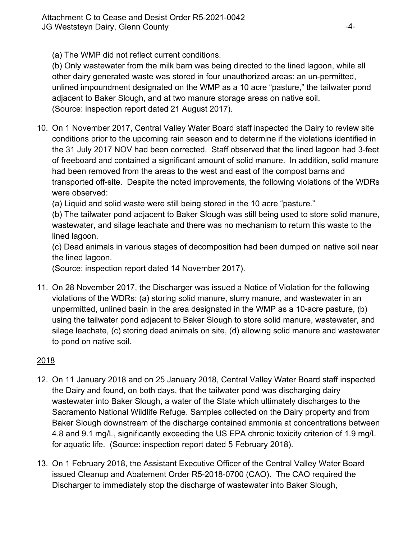(a) The WMP did not reflect current conditions.

(b) Only wastewater from the milk barn was being directed to the lined lagoon, while all other dairy generated waste was stored in four unauthorized areas: an un-permitted, unlined impoundment designated on the WMP as a 10 acre "pasture," the tailwater pond adjacent to Baker Slough, and at two manure storage areas on native soil. (Source: inspection report dated 21 August 2017).

10. On 1 November 2017, Central Valley Water Board staff inspected the Dairy to review site conditions prior to the upcoming rain season and to determine if the violations identified in the 31 July 2017 NOV had been corrected. Staff observed that the lined lagoon had 3-feet of freeboard and contained a significant amount of solid manure. In addition, solid manure had been removed from the areas to the west and east of the compost barns and transported off-site. Despite the noted improvements, the following violations of the WDRs were observed:

(a) Liquid and solid waste were still being stored in the 10 acre "pasture."

(b) The tailwater pond adjacent to Baker Slough was still being used to store solid manure, wastewater, and silage leachate and there was no mechanism to return this waste to the lined lagoon.

(c) Dead animals in various stages of decomposition had been dumped on native soil near the lined lagoon.

(Source: inspection report dated 14 November 2017).

11. On 28 November 2017, the Discharger was issued a Notice of Violation for the following violations of the WDRs: (a) storing solid manure, slurry manure, and wastewater in an unpermitted, unlined basin in the area designated in the WMP as a 10-acre pasture, (b) using the tailwater pond adjacent to Baker Slough to store solid manure, wastewater, and silage leachate, (c) storing dead animals on site, (d) allowing solid manure and wastewater to pond on native soil.

# 2018

- 12. On 11 January 2018 and on 25 January 2018, Central Valley Water Board staff inspected the Dairy and found, on both days, that the tailwater pond was discharging dairy wastewater into Baker Slough, a water of the State which ultimately discharges to the Sacramento National Wildlife Refuge. Samples collected on the Dairy property and from Baker Slough downstream of the discharge contained ammonia at concentrations between 4.8 and 9.1 mg/L, significantly exceeding the US EPA chronic toxicity criterion of 1.9 mg/L for aquatic life. (Source: inspection report dated 5 February 2018).
- 13. On 1 February 2018, the Assistant Executive Officer of the Central Valley Water Board issued Cleanup and Abatement Order R5-2018-0700 (CAO). The CAO required the Discharger to immediately stop the discharge of wastewater into Baker Slough,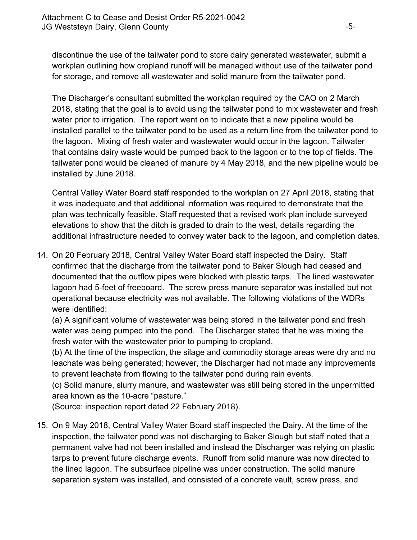discontinue the use of the tailwater pond to store dairy generated wastewater, submit a workplan outlining how cropland runoff will be managed without use of the tailwater pond for storage, and remove all wastewater and solid manure from the tailwater pond.

The Discharger's consultant submitted the workplan required by the CAO on 2 March 2018, stating that the goal is to avoid using the tailwater pond to mix wastewater and fresh water prior to irrigation. The report went on to indicate that a new pipeline would be installed parallel to the tailwater pond to be used as a return line from the tailwater pond to the lagoon. Mixing of fresh water and wastewater would occur in the lagoon. Tailwater that contains dairy waste would be pumped back to the lagoon or to the top of fields. The tailwater pond would be cleaned of manure by 4 May 2018, and the new pipeline would be installed by June 2018.

Central Valley Water Board staff responded to the workplan on 27 April 2018, stating that it was inadequate and that additional information was required to demonstrate that the plan was technically feasible. Staff requested that a revised work plan include surveyed elevations to show that the ditch is graded to drain to the west, details regarding the additional infrastructure needed to convey water back to the lagoon, and completion dates.

14. On 20 February 2018, Central Valley Water Board staff inspected the Dairy. Staff confirmed that the discharge from the tailwater pond to Baker Slough had ceased and documented that the outflow pipes were blocked with plastic tarps. The lined wastewater lagoon had 5-feet of freeboard. The screw press manure separator was installed but not operational because electricity was not available. The following violations of the WDRs were identified:

(a) A significant volume of wastewater was being stored in the tailwater pond and fresh water was being pumped into the pond. The Discharger stated that he was mixing the fresh water with the wastewater prior to pumping to cropland.

(b) At the time of the inspection, the silage and commodity storage areas were dry and no leachate was being generated; however, the Discharger had not made any improvements to prevent leachate from flowing to the tailwater pond during rain events.

(c) Solid manure, slurry manure, and wastewater was still being stored in the unpermitted area known as the 10-acre "pasture."

(Source: inspection report dated 22 February 2018).

15. On 9 May 2018, Central Valley Water Board staff inspected the Dairy. At the time of the inspection, the tailwater pond was not discharging to Baker Slough but staff noted that a permanent valve had not been installed and instead the Discharger was relying on plastic tarps to prevent future discharge events. Runoff from solid manure was now directed to the lined lagoon. The subsurface pipeline was under construction. The solid manure separation system was installed, and consisted of a concrete vault, screw press, and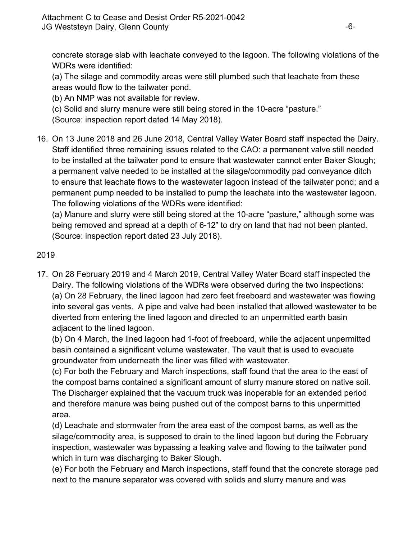concrete storage slab with leachate conveyed to the lagoon. The following violations of the WDRs were identified:

(a) The silage and commodity areas were still plumbed such that leachate from these areas would flow to the tailwater pond.

(b) An NMP was not available for review.

(c) Solid and slurry manure were still being stored in the 10-acre "pasture."

(Source: inspection report dated 14 May 2018).

16. On 13 June 2018 and 26 June 2018, Central Valley Water Board staff inspected the Dairy. Staff identified three remaining issues related to the CAO: a permanent valve still needed to be installed at the tailwater pond to ensure that wastewater cannot enter Baker Slough; a permanent valve needed to be installed at the silage/commodity pad conveyance ditch to ensure that leachate flows to the wastewater lagoon instead of the tailwater pond; and a permanent pump needed to be installed to pump the leachate into the wastewater lagoon. The following violations of the WDRs were identified:

(a) Manure and slurry were still being stored at the 10-acre "pasture," although some was being removed and spread at a depth of 6-12" to dry on land that had not been planted. (Source: inspection report dated 23 July 2018).

# 2019

17. On 28 February 2019 and 4 March 2019, Central Valley Water Board staff inspected the Dairy. The following violations of the WDRs were observed during the two inspections: (a) On 28 February, the lined lagoon had zero feet freeboard and wastewater was flowing into several gas vents. A pipe and valve had been installed that allowed wastewater to be diverted from entering the lined lagoon and directed to an unpermitted earth basin adjacent to the lined lagoon.

(b) On 4 March, the lined lagoon had 1-foot of freeboard, while the adjacent unpermitted basin contained a significant volume wastewater. The vault that is used to evacuate groundwater from underneath the liner was filled with wastewater.

(c) For both the February and March inspections, staff found that the area to the east of the compost barns contained a significant amount of slurry manure stored on native soil. The Discharger explained that the vacuum truck was inoperable for an extended period and therefore manure was being pushed out of the compost barns to this unpermitted area.

(d) Leachate and stormwater from the area east of the compost barns, as well as the silage/commodity area, is supposed to drain to the lined lagoon but during the February inspection, wastewater was bypassing a leaking valve and flowing to the tailwater pond which in turn was discharging to Baker Slough.

(e) For both the February and March inspections, staff found that the concrete storage pad next to the manure separator was covered with solids and slurry manure and was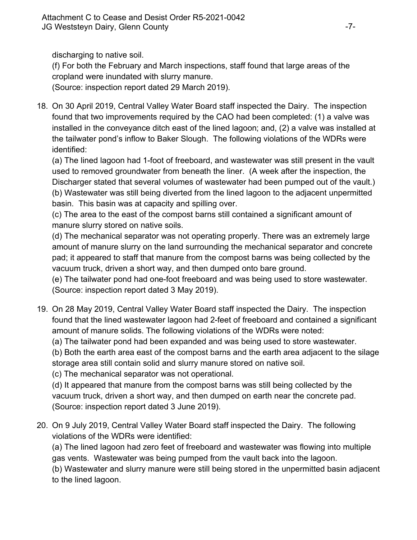discharging to native soil.

(f) For both the February and March inspections, staff found that large areas of the cropland were inundated with slurry manure.

(Source: inspection report dated 29 March 2019).

18. On 30 April 2019, Central Valley Water Board staff inspected the Dairy. The inspection found that two improvements required by the CAO had been completed: (1) a valve was installed in the conveyance ditch east of the lined lagoon; and, (2) a valve was installed at the tailwater pond's inflow to Baker Slough. The following violations of the WDRs were identified:

(a) The lined lagoon had 1-foot of freeboard, and wastewater was still present in the vault used to removed groundwater from beneath the liner. (A week after the inspection, the Discharger stated that several volumes of wastewater had been pumped out of the vault.) (b) Wastewater was still being diverted from the lined lagoon to the adjacent unpermitted basin. This basin was at capacity and spilling over.

(c) The area to the east of the compost barns still contained a significant amount of manure slurry stored on native soils.

(d) The mechanical separator was not operating properly. There was an extremely large amount of manure slurry on the land surrounding the mechanical separator and concrete pad; it appeared to staff that manure from the compost barns was being collected by the vacuum truck, driven a short way, and then dumped onto bare ground.

(e) The tailwater pond had one-foot freeboard and was being used to store wastewater. (Source: inspection report dated 3 May 2019).

19. On 28 May 2019, Central Valley Water Board staff inspected the Dairy. The inspection found that the lined wastewater lagoon had 2-feet of freeboard and contained a significant amount of manure solids. The following violations of the WDRs were noted:

(a) The tailwater pond had been expanded and was being used to store wastewater.

(b) Both the earth area east of the compost barns and the earth area adjacent to the silage storage area still contain solid and slurry manure stored on native soil.

(c) The mechanical separator was not operational.

(d) It appeared that manure from the compost barns was still being collected by the vacuum truck, driven a short way, and then dumped on earth near the concrete pad. (Source: inspection report dated 3 June 2019).

20. On 9 July 2019, Central Valley Water Board staff inspected the Dairy. The following violations of the WDRs were identified:

(a) The lined lagoon had zero feet of freeboard and wastewater was flowing into multiple gas vents. Wastewater was being pumped from the vault back into the lagoon.

(b) Wastewater and slurry manure were still being stored in the unpermitted basin adjacent to the lined lagoon.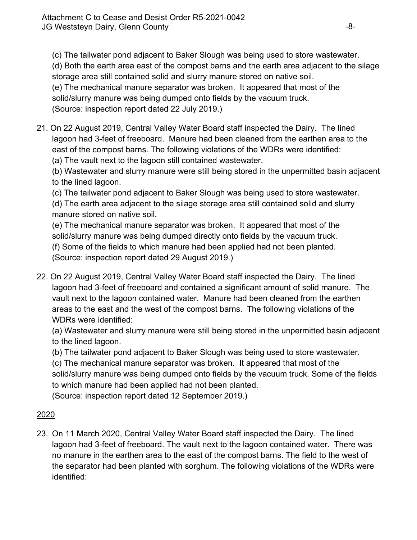(c) The tailwater pond adjacent to Baker Slough was being used to store wastewater.

(d) Both the earth area east of the compost barns and the earth area adjacent to the silage storage area still contained solid and slurry manure stored on native soil.

(e) The mechanical manure separator was broken. It appeared that most of the

solid/slurry manure was being dumped onto fields by the vacuum truck.

(Source: inspection report dated 22 July 2019.)

21. On 22 August 2019, Central Valley Water Board staff inspected the Dairy. The lined lagoon had 3-feet of freeboard. Manure had been cleaned from the earthen area to the east of the compost barns. The following violations of the WDRs were identified:

(a) The vault next to the lagoon still contained wastewater.

(b) Wastewater and slurry manure were still being stored in the unpermitted basin adjacent to the lined lagoon.

(c) The tailwater pond adjacent to Baker Slough was being used to store wastewater.

(d) The earth area adjacent to the silage storage area still contained solid and slurry manure stored on native soil.

(e) The mechanical manure separator was broken. It appeared that most of the solid/slurry manure was being dumped directly onto fields by the vacuum truck. (f) Some of the fields to which manure had been applied had not been planted. (Source: inspection report dated 29 August 2019.)

22. On 22 August 2019, Central Valley Water Board staff inspected the Dairy. The lined lagoon had 3-feet of freeboard and contained a significant amount of solid manure. The vault next to the lagoon contained water. Manure had been cleaned from the earthen areas to the east and the west of the compost barns. The following violations of the WDRs were identified:

(a) Wastewater and slurry manure were still being stored in the unpermitted basin adjacent to the lined lagoon.

(b) The tailwater pond adjacent to Baker Slough was being used to store wastewater.

(c) The mechanical manure separator was broken. It appeared that most of the solid/slurry manure was being dumped onto fields by the vacuum truck. Some of the fields to which manure had been applied had not been planted.

(Source: inspection report dated 12 September 2019.)

# 2020

23. On 11 March 2020, Central Valley Water Board staff inspected the Dairy. The lined lagoon had 3-feet of freeboard. The vault next to the lagoon contained water. There was no manure in the earthen area to the east of the compost barns. The field to the west of the separator had been planted with sorghum. The following violations of the WDRs were identified: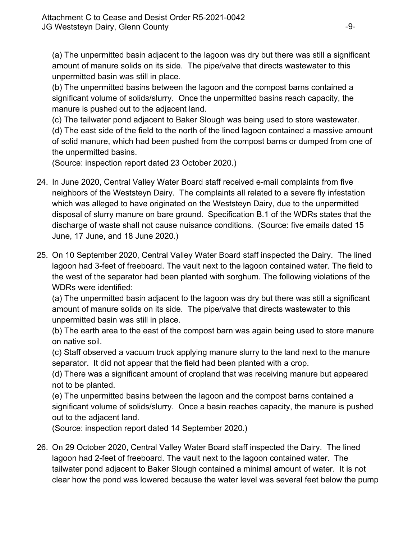(a) The unpermitted basin adjacent to the lagoon was dry but there was still a significant amount of manure solids on its side. The pipe/valve that directs wastewater to this unpermitted basin was still in place.

(b) The unpermitted basins between the lagoon and the compost barns contained a significant volume of solids/slurry. Once the unpermitted basins reach capacity, the manure is pushed out to the adjacent land.

(c) The tailwater pond adjacent to Baker Slough was being used to store wastewater.

(d) The east side of the field to the north of the lined lagoon contained a massive amount of solid manure, which had been pushed from the compost barns or dumped from one of the unpermitted basins.

(Source: inspection report dated 23 October 2020.)

- 24. In June 2020, Central Valley Water Board staff received e-mail complaints from five neighbors of the Weststeyn Dairy. The complaints all related to a severe fly infestation which was alleged to have originated on the Weststeyn Dairy, due to the unpermitted disposal of slurry manure on bare ground. Specification B.1 of the WDRs states that the discharge of waste shall not cause nuisance conditions. (Source: five emails dated 15 June, 17 June, and 18 June 2020.)
- 25. On 10 September 2020, Central Valley Water Board staff inspected the Dairy. The lined lagoon had 3-feet of freeboard. The vault next to the lagoon contained water. The field to the west of the separator had been planted with sorghum. The following violations of the WDRs were identified:

(a) The unpermitted basin adjacent to the lagoon was dry but there was still a significant amount of manure solids on its side. The pipe/valve that directs wastewater to this unpermitted basin was still in place.

(b) The earth area to the east of the compost barn was again being used to store manure on native soil.

(c) Staff observed a vacuum truck applying manure slurry to the land next to the manure separator. It did not appear that the field had been planted with a crop.

(d) There was a significant amount of cropland that was receiving manure but appeared not to be planted.

(e) The unpermitted basins between the lagoon and the compost barns contained a significant volume of solids/slurry. Once a basin reaches capacity, the manure is pushed out to the adjacent land.

(Source: inspection report dated 14 September 2020.)

26. On 29 October 2020, Central Valley Water Board staff inspected the Dairy. The lined lagoon had 2-feet of freeboard. The vault next to the lagoon contained water. The tailwater pond adjacent to Baker Slough contained a minimal amount of water. It is not clear how the pond was lowered because the water level was several feet below the pump